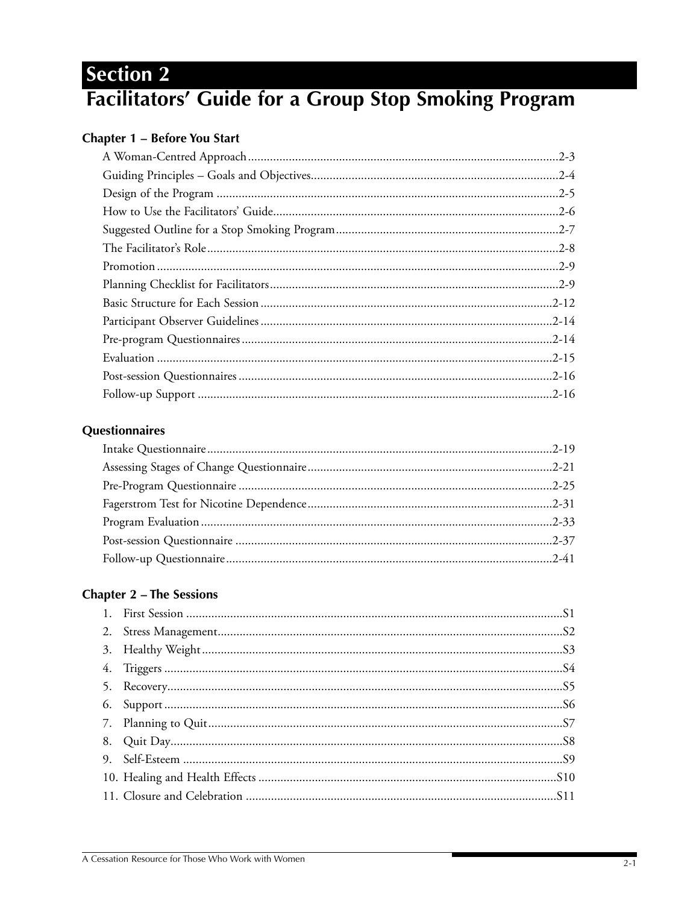# **Section 2** Facilitators' Guide for a Group Stop Smoking Program

# **Chapter 1 - Before You Start**

# Questionnaires

# **Chapter 2 - The Sessions**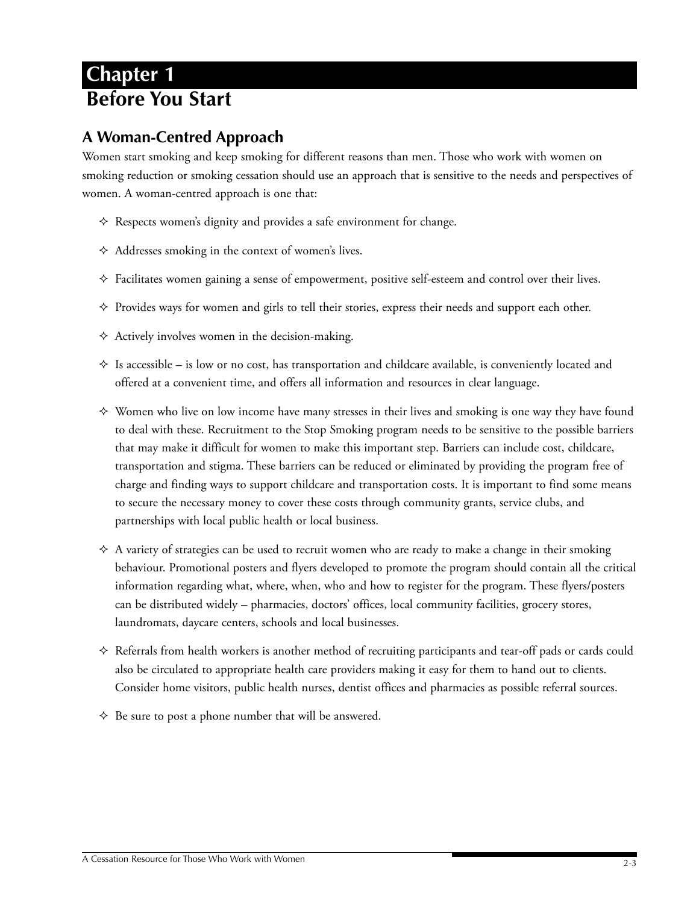# **Chapter 1 Before You Start**

# **A Woman-Centred Approach**

Women start smoking and keep smoking for different reasons than men. Those who work with women on smoking reduction or smoking cessation should use an approach that is sensitive to the needs and perspectives of women. A woman-centred approach is one that:

- $\Leftrightarrow$  Respects women's dignity and provides a safe environment for change.
- $\triangle$  Addresses smoking in the context of women's lives.
- $\Diamond$  Facilitates women gaining a sense of empowerment, positive self-esteem and control over their lives.
- $\Diamond$  Provides ways for women and girls to tell their stories, express their needs and support each other.
- $\Diamond$  Actively involves women in the decision-making.
- $\Diamond$  Is accessible is low or no cost, has transportation and childcare available, is conveniently located and offered at a convenient time, and offers all information and resources in clear language.
- $\diamond$  Women who live on low income have many stresses in their lives and smoking is one way they have found to deal with these. Recruitment to the Stop Smoking program needs to be sensitive to the possible barriers that may make it difficult for women to make this important step. Barriers can include cost, childcare, transportation and stigma. These barriers can be reduced or eliminated by providing the program free of charge and finding ways to support childcare and transportation costs. It is important to find some means to secure the necessary money to cover these costs through community grants, service clubs, and partnerships with local public health or local business.
- $\Diamond$  A variety of strategies can be used to recruit women who are ready to make a change in their smoking behaviour. Promotional posters and flyers developed to promote the program should contain all the critical information regarding what, where, when, who and how to register for the program. These flyers/posters can be distributed widely – pharmacies, doctors' offices, local community facilities, grocery stores, laundromats, daycare centers, schools and local businesses.
- $\Diamond$  Referrals from health workers is another method of recruiting participants and tear-off pads or cards could also be circulated to appropriate health care providers making it easy for them to hand out to clients. Consider home visitors, public health nurses, dentist offices and pharmacies as possible referral sources.
- $\Diamond$  Be sure to post a phone number that will be answered.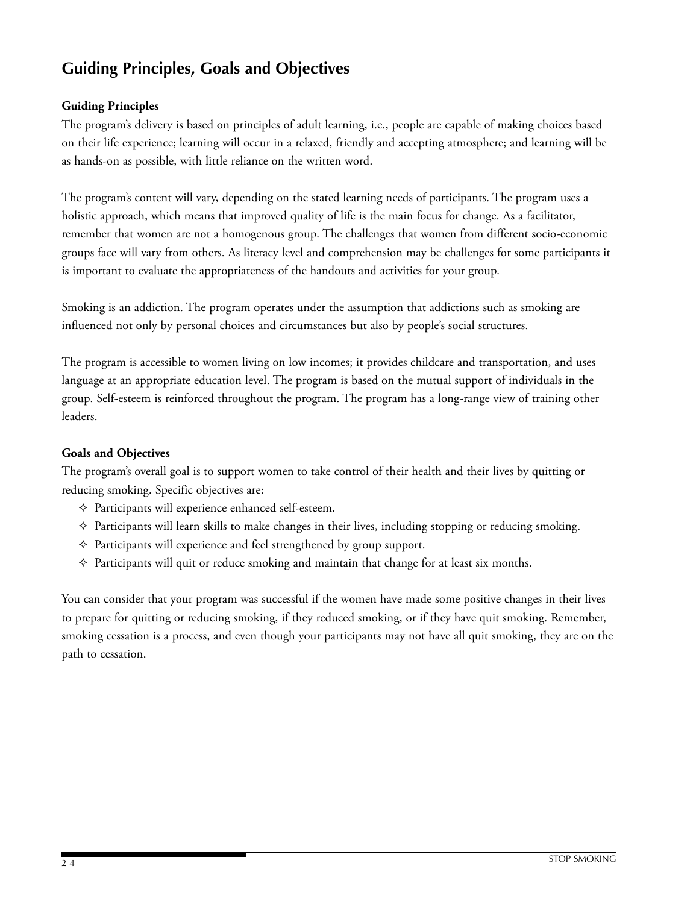# **Guiding Principles, Goals and Objectives**

# **Guiding Principles**

The program's delivery is based on principles of adult learning, i.e., people are capable of making choices based on their life experience; learning will occur in a relaxed, friendly and accepting atmosphere; and learning will be as hands-on as possible, with little reliance on the written word.

The program's content will vary, depending on the stated learning needs of participants. The program uses a holistic approach, which means that improved quality of life is the main focus for change. As a facilitator, remember that women are not a homogenous group. The challenges that women from different socio-economic groups face will vary from others. As literacy level and comprehension may be challenges for some participants it is important to evaluate the appropriateness of the handouts and activities for your group.

Smoking is an addiction. The program operates under the assumption that addictions such as smoking are influenced not only by personal choices and circumstances but also by people's social structures.

The program is accessible to women living on low incomes; it provides childcare and transportation, and uses language at an appropriate education level. The program is based on the mutual support of individuals in the group. Self-esteem is reinforced throughout the program. The program has a long-range view of training other leaders.

## **Goals and Objectives**

The program's overall goal is to support women to take control of their health and their lives by quitting or reducing smoking. Specific objectives are:

- $\Diamond$  Participants will experience enhanced self-esteem.
- $\Diamond$  Participants will learn skills to make changes in their lives, including stopping or reducing smoking.
- $\Diamond$  Participants will experience and feel strengthened by group support.
- $\diamond$  Participants will quit or reduce smoking and maintain that change for at least six months.

You can consider that your program was successful if the women have made some positive changes in their lives to prepare for quitting or reducing smoking, if they reduced smoking, or if they have quit smoking. Remember, smoking cessation is a process, and even though your participants may not have all quit smoking, they are on the path to cessation.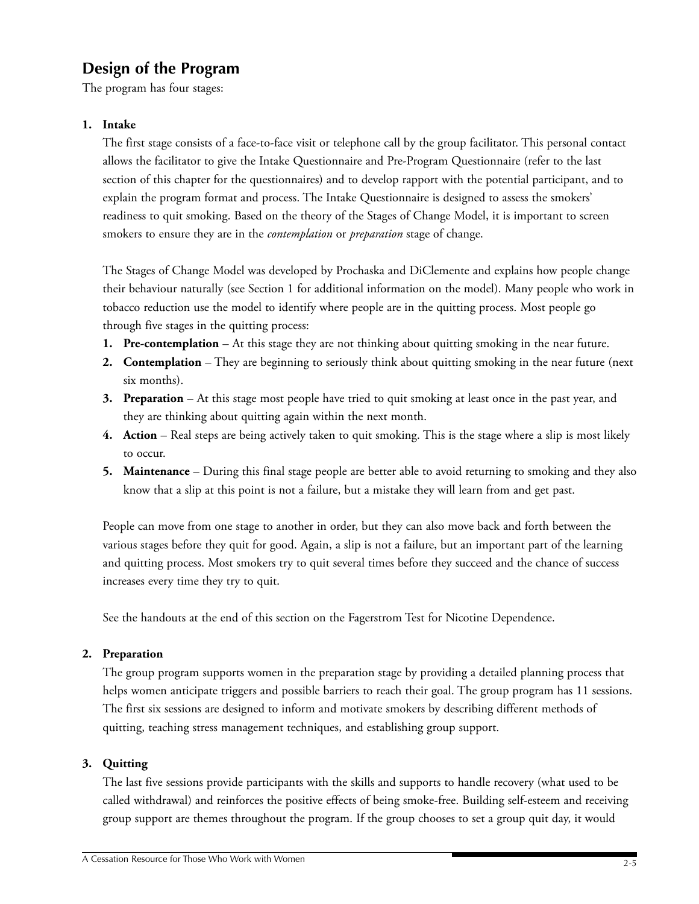# **Design of the Program**

The program has four stages:

# **1. Intake**

The first stage consists of a face-to-face visit or telephone call by the group facilitator. This personal contact allows the facilitator to give the Intake Questionnaire and Pre-Program Questionnaire (refer to the last section of this chapter for the questionnaires) and to develop rapport with the potential participant, and to explain the program format and process. The Intake Questionnaire is designed to assess the smokers' readiness to quit smoking. Based on the theory of the Stages of Change Model, it is important to screen smokers to ensure they are in the *contemplation* or *preparation* stage of change.

The Stages of Change Model was developed by Prochaska and DiClemente and explains how people change their behaviour naturally (see Section 1 for additional information on the model). Many people who work in tobacco reduction use the model to identify where people are in the quitting process. Most people go through five stages in the quitting process:

- **1. Pre-contemplation** At this stage they are not thinking about quitting smoking in the near future.
- **2. Contemplation** They are beginning to seriously think about quitting smoking in the near future (next six months).
- **3. Preparation** At this stage most people have tried to quit smoking at least once in the past year, and they are thinking about quitting again within the next month.
- **4. Action** Real steps are being actively taken to quit smoking. This is the stage where a slip is most likely to occur.
- **5. Maintenance** During this final stage people are better able to avoid returning to smoking and they also know that a slip at this point is not a failure, but a mistake they will learn from and get past.

People can move from one stage to another in order, but they can also move back and forth between the various stages before they quit for good. Again, a slip is not a failure, but an important part of the learning and quitting process. Most smokers try to quit several times before they succeed and the chance of success increases every time they try to quit.

See the handouts at the end of this section on the Fagerstrom Test for Nicotine Dependence.

# **2. Preparation**

The group program supports women in the preparation stage by providing a detailed planning process that helps women anticipate triggers and possible barriers to reach their goal. The group program has 11 sessions. The first six sessions are designed to inform and motivate smokers by describing different methods of quitting, teaching stress management techniques, and establishing group support.

# **3. Quitting**

The last five sessions provide participants with the skills and supports to handle recovery (what used to be called withdrawal) and reinforces the positive effects of being smoke-free. Building self-esteem and receiving group support are themes throughout the program. If the group chooses to set a group quit day, it would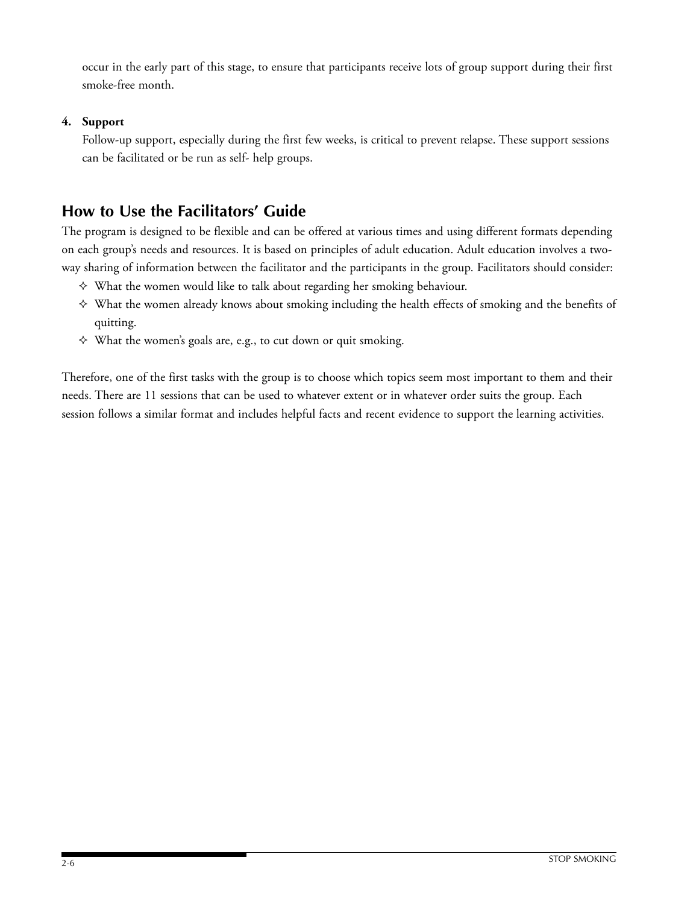occur in the early part of this stage, to ensure that participants receive lots of group support during their first smoke-free month.

# **4. Support**

Follow-up support, especially during the first few weeks, is critical to prevent relapse. These support sessions can be facilitated or be run as self- help groups.

# **How to Use the Facilitators' Guide**

The program is designed to be flexible and can be offered at various times and using different formats depending on each group's needs and resources. It is based on principles of adult education. Adult education involves a twoway sharing of information between the facilitator and the participants in the group. Facilitators should consider:

- $\Diamond$  What the women would like to talk about regarding her smoking behaviour.
- What the women already knows about smoking including the health effects of smoking and the benefits of quitting.
- $\Diamond$  What the women's goals are, e.g., to cut down or quit smoking.

Therefore, one of the first tasks with the group is to choose which topics seem most important to them and their needs. There are 11 sessions that can be used to whatever extent or in whatever order suits the group. Each session follows a similar format and includes helpful facts and recent evidence to support the learning activities.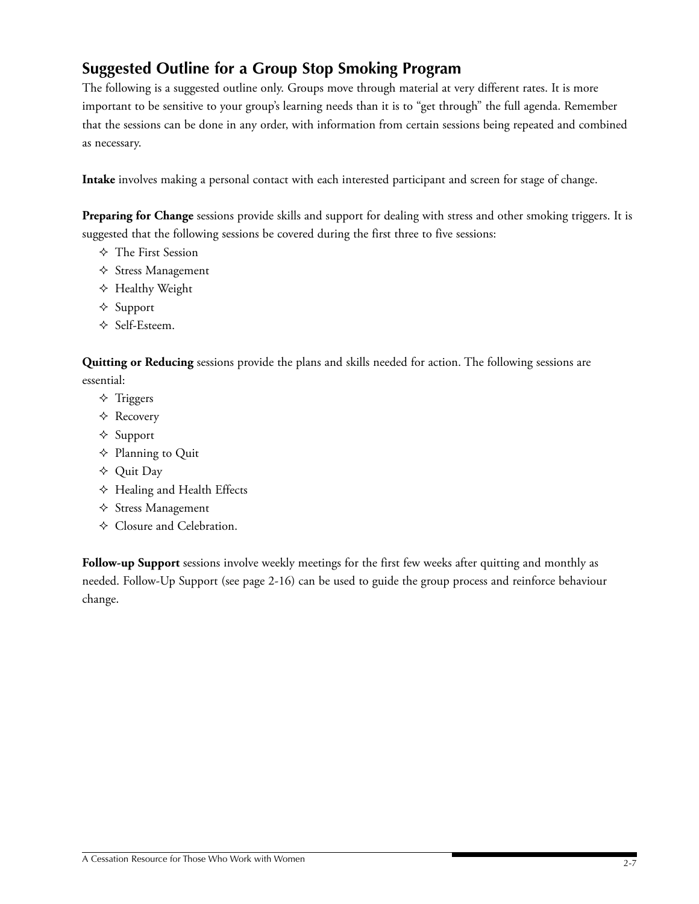# **Suggested Outline for a Group Stop Smoking Program**

The following is a suggested outline only. Groups move through material at very different rates. It is more important to be sensitive to your group's learning needs than it is to "get through" the full agenda. Remember that the sessions can be done in any order, with information from certain sessions being repeated and combined as necessary.

**Intake** involves making a personal contact with each interested participant and screen for stage of change.

**Preparing for Change** sessions provide skills and support for dealing with stress and other smoking triggers. It is suggested that the following sessions be covered during the first three to five sessions:

- The First Session
- $\Diamond$  Stress Management
- $\triangle$  Healthy Weight
- $\triangle$  Support
- $\triangle$  Self-Esteem.

**Quitting or Reducing** sessions provide the plans and skills needed for action. The following sessions are essential:

- $\triangle$  Triggers
- Recovery
- $\triangle$  Support
- $\triangle$  Planning to Quit
- Quit Day
- $\triangle$  Healing and Health Effects
- $\triangle$  Stress Management
- Closure and Celebration.

**Follow-up Support** sessions involve weekly meetings for the first few weeks after quitting and monthly as needed. Follow-Up Support (see page 2-16) can be used to guide the group process and reinforce behaviour change.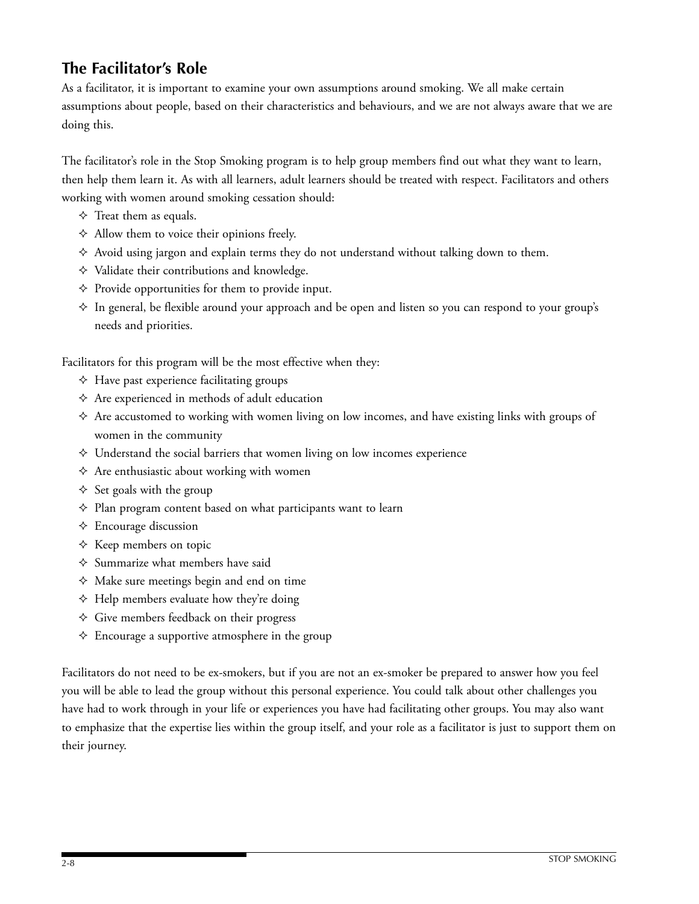# **The Facilitator's Role**

As a facilitator, it is important to examine your own assumptions around smoking. We all make certain assumptions about people, based on their characteristics and behaviours, and we are not always aware that we are doing this.

The facilitator's role in the Stop Smoking program is to help group members find out what they want to learn, then help them learn it. As with all learners, adult learners should be treated with respect. Facilitators and others working with women around smoking cessation should:

- $\Diamond$  Treat them as equals.
- $\triangle$  Allow them to voice their opinions freely.
- $\Diamond$  Avoid using jargon and explain terms they do not understand without talking down to them.
- $\Diamond$  Validate their contributions and knowledge.
- $\Diamond$  Provide opportunities for them to provide input.
- $\Diamond$  In general, be flexible around your approach and be open and listen so you can respond to your group's needs and priorities.

Facilitators for this program will be the most effective when they:

- $\triangle$  Have past experience facilitating groups
- $\Diamond$  Are experienced in methods of adult education
- $\Diamond$  Are accustomed to working with women living on low incomes, and have existing links with groups of women in the community
- $\Diamond$  Understand the social barriers that women living on low incomes experience
- $\Diamond$  Are enthusiastic about working with women
- $\Diamond$  Set goals with the group
- $\Diamond$  Plan program content based on what participants want to learn
- $\triangle$  Encourage discussion
- $\Diamond$  Keep members on topic
- $\diamond$  Summarize what members have said
- $\Diamond$  Make sure meetings begin and end on time
- $\triangle$  Help members evaluate how they're doing
- $\Diamond$  Give members feedback on their progress
- $\Diamond$  Encourage a supportive atmosphere in the group

Facilitators do not need to be ex-smokers, but if you are not an ex-smoker be prepared to answer how you feel you will be able to lead the group without this personal experience. You could talk about other challenges you have had to work through in your life or experiences you have had facilitating other groups. You may also want to emphasize that the expertise lies within the group itself, and your role as a facilitator is just to support them on their journey.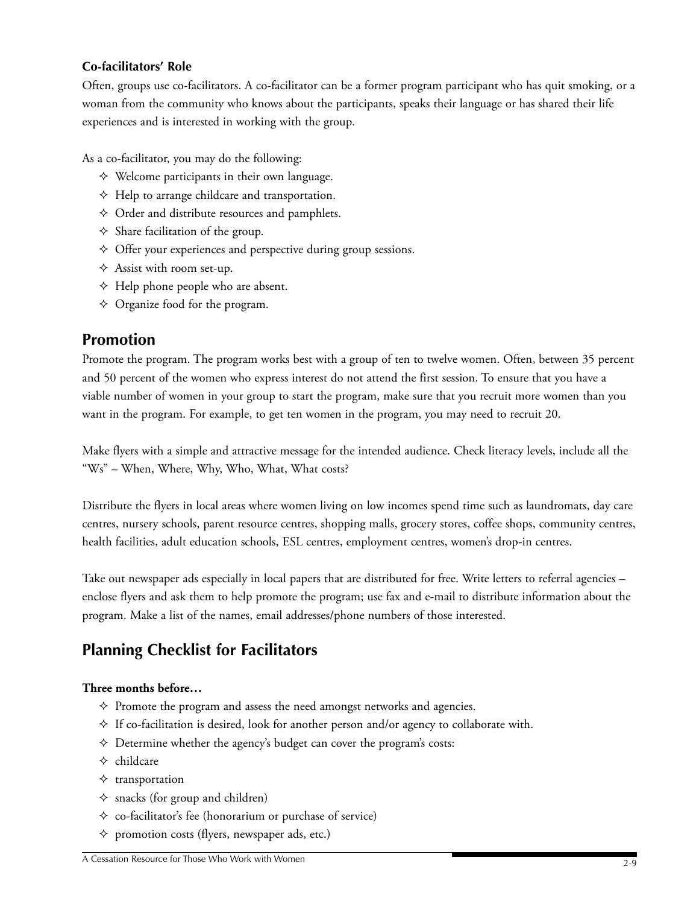# **Co-facilitators' Role**

Often, groups use co-facilitators. A co-facilitator can be a former program participant who has quit smoking, or a woman from the community who knows about the participants, speaks their language or has shared their life experiences and is interested in working with the group.

As a co-facilitator, you may do the following:

- $\Diamond$  Welcome participants in their own language.
- $\triangle$  Help to arrange childcare and transportation.
- $\triangle$  Order and distribute resources and pamphlets.
- $\Diamond$  Share facilitation of the group.
- Offer your experiences and perspective during group sessions.
- $\triangle$  Assist with room set-up.
- $\triangle$  Help phone people who are absent.
- $\Diamond$  Organize food for the program.

# **Promotion**

Promote the program. The program works best with a group of ten to twelve women. Often, between 35 percent and 50 percent of the women who express interest do not attend the first session. To ensure that you have a viable number of women in your group to start the program, make sure that you recruit more women than you want in the program. For example, to get ten women in the program, you may need to recruit 20.

Make flyers with a simple and attractive message for the intended audience. Check literacy levels, include all the "Ws" – When, Where, Why, Who, What, What costs?

Distribute the flyers in local areas where women living on low incomes spend time such as laundromats, day care centres, nursery schools, parent resource centres, shopping malls, grocery stores, coffee shops, community centres, health facilities, adult education schools, ESL centres, employment centres, women's drop-in centres.

Take out newspaper ads especially in local papers that are distributed for free. Write letters to referral agencies – enclose flyers and ask them to help promote the program; use fax and e-mail to distribute information about the program. Make a list of the names, email addresses/phone numbers of those interested.

# **Planning Checklist for Facilitators**

# **Three months before…**

- $\Diamond$  Promote the program and assess the need amongst networks and agencies.
- $\Diamond$  If co-facilitation is desired, look for another person and/or agency to collaborate with.
- $\Diamond$  Determine whether the agency's budget can cover the program's costs:
- $\Leftrightarrow$  childcare
- $\diamond$  transportation
- $\Diamond$  snacks (for group and children)
- $\Diamond$  co-facilitator's fee (honorarium or purchase of service)
- $\Diamond$  promotion costs (flyers, newspaper ads, etc.)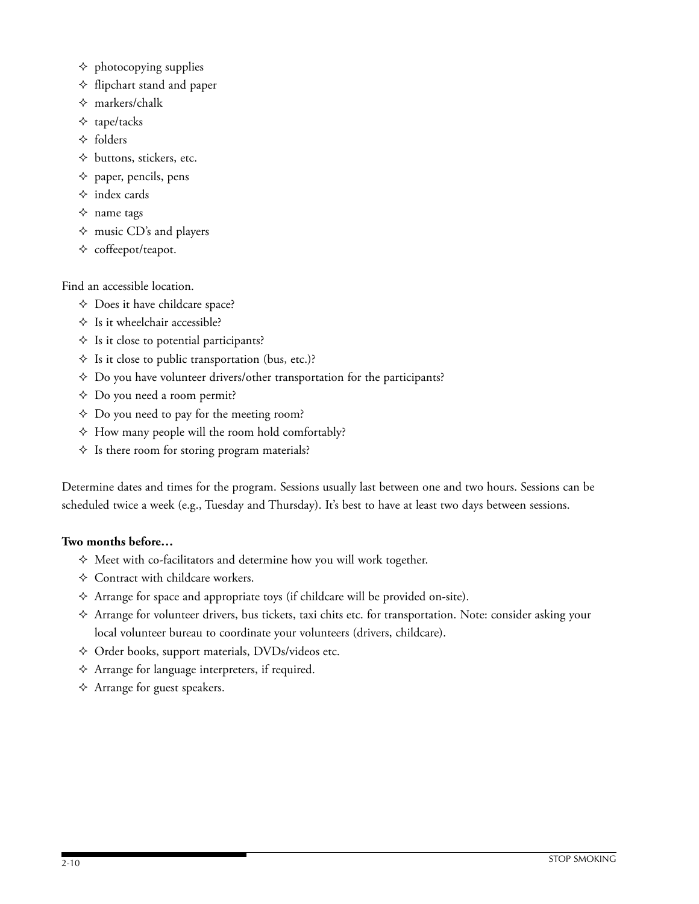- $\Diamond$  photocopying supplies
- $\Diamond$  flipchart stand and paper
- $\Leftrightarrow$  markers/chalk
- $\triangle$  tape/tacks
- $\triangle$  folders
- $\Diamond$  buttons, stickers, etc.
- $\Diamond$  paper, pencils, pens
- $\diamond$  index cards
- $\Diamond$  name tags
- $\Diamond$  music CD's and players
- $\diamond$  coffeepot/teapot.

Find an accessible location.

- Does it have childcare space?
- $\triangle$  Is it wheelchair accessible?
- $\Diamond$  Is it close to potential participants?
- $\Diamond$  Is it close to public transportation (bus, etc.)?
- $\Diamond$  Do you have volunteer drivers/other transportation for the participants?
- Do you need a room permit?
- Do you need to pay for the meeting room?
- $\triangle$  How many people will the room hold comfortably?
- $\Diamond$  Is there room for storing program materials?

Determine dates and times for the program. Sessions usually last between one and two hours. Sessions can be scheduled twice a week (e.g., Tuesday and Thursday). It's best to have at least two days between sessions.

### **Two months before…**

- $\Diamond$  Meet with co-facilitators and determine how you will work together.
- Contract with childcare workers.
- $\triangle$  Arrange for space and appropriate toys (if childcare will be provided on-site).
- Arrange for volunteer drivers, bus tickets, taxi chits etc. for transportation. Note: consider asking your local volunteer bureau to coordinate your volunteers (drivers, childcare).
- Order books, support materials, DVDs/videos etc.
- $\triangle$  Arrange for language interpreters, if required.
- $\triangle$  Arrange for guest speakers.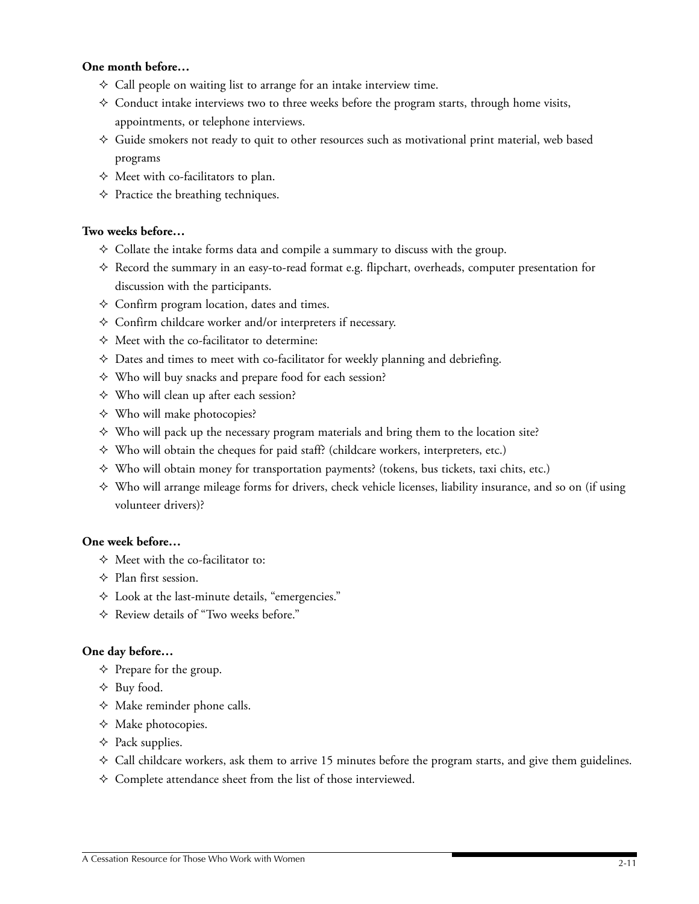### **One month before…**

- $\Diamond$  Call people on waiting list to arrange for an intake interview time.
- $\Diamond$  Conduct intake interviews two to three weeks before the program starts, through home visits, appointments, or telephone interviews.
- $\Diamond$  Guide smokers not ready to quit to other resources such as motivational print material, web based programs
- $\Diamond$  Meet with co-facilitators to plan.
- $\Diamond$  Practice the breathing techniques.

### **Two weeks before…**

- $\Diamond$  Collate the intake forms data and compile a summary to discuss with the group.
- $\Diamond$  Record the summary in an easy-to-read format e.g. flipchart, overheads, computer presentation for discussion with the participants.
- $\Diamond$  Confirm program location, dates and times.
- $\Diamond$  Confirm childcare worker and/or interpreters if necessary.
- $\Diamond$  Meet with the co-facilitator to determine:
- $\Diamond$  Dates and times to meet with co-facilitator for weekly planning and debriefing.
- $\Diamond$  Who will buy snacks and prepare food for each session?
- Who will clean up after each session?
- Who will make photocopies?
- $\Diamond$  Who will pack up the necessary program materials and bring them to the location site?
- $\Diamond$  Who will obtain the cheques for paid staff? (childcare workers, interpreters, etc.)
- $\Diamond$  Who will obtain money for transportation payments? (tokens, bus tickets, taxi chits, etc.)
- $\Diamond$  Who will arrange mileage forms for drivers, check vehicle licenses, liability insurance, and so on (if using volunteer drivers)?

## **One week before…**

- $\Diamond$  Meet with the co-facilitator to:
- $\Diamond$  Plan first session.
- Look at the last-minute details, "emergencies."
- Review details of "Two weeks before."

#### **One day before…**

- $\Diamond$  Prepare for the group.
- $\triangle$  Buy food.
- $\triangle$  Make reminder phone calls.
- $\Diamond$  Make photocopies.
- $\triangle$  Pack supplies.
- $\Diamond$  Call childcare workers, ask them to arrive 15 minutes before the program starts, and give them guidelines.
- $\diamond$  Complete attendance sheet from the list of those interviewed.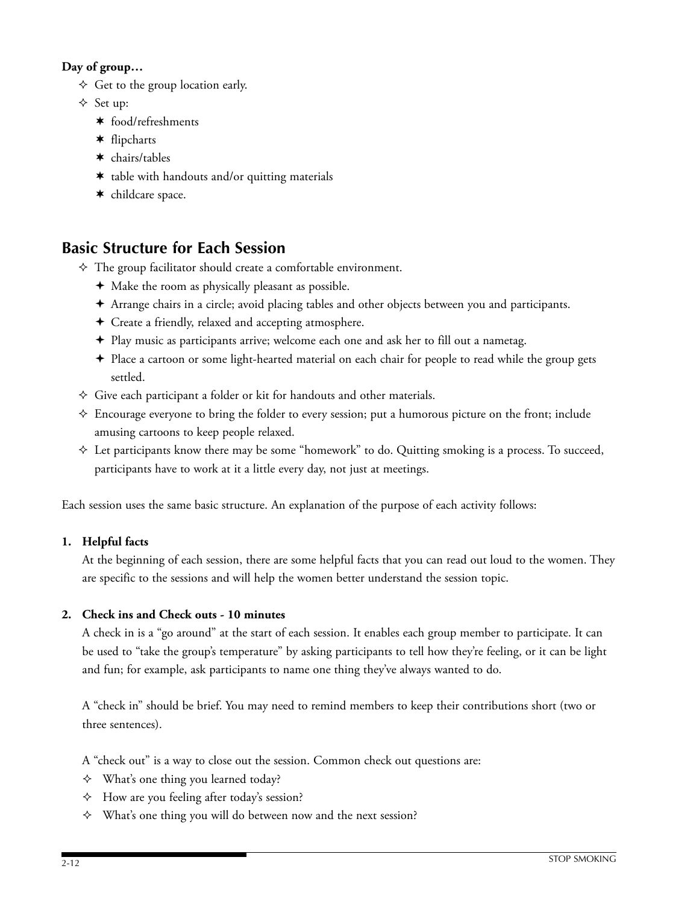# **Day of group…**

- $\Diamond$  Get to the group location early.
- $\triangle$  Set up:
	- food/refreshments
	- flipcharts
	- chairs/tables
	- \* table with handouts and/or quitting materials
	- \* childcare space.

# **Basic Structure for Each Session**

- $\Diamond$  The group facilitator should create a comfortable environment.
	- Make the room as physically pleasant as possible.
	- Arrange chairs in a circle; avoid placing tables and other objects between you and participants.
	- Create a friendly, relaxed and accepting atmosphere.
	- Play music as participants arrive; welcome each one and ask her to fill out a nametag.
	- Place a cartoon or some light-hearted material on each chair for people to read while the group gets settled.
- $\Diamond$  Give each participant a folder or kit for handouts and other materials.
- Encourage everyone to bring the folder to every session; put a humorous picture on the front; include amusing cartoons to keep people relaxed.
- $\Diamond$  Let participants know there may be some "homework" to do. Quitting smoking is a process. To succeed, participants have to work at it a little every day, not just at meetings.

Each session uses the same basic structure. An explanation of the purpose of each activity follows:

# **1. Helpful facts**

At the beginning of each session, there are some helpful facts that you can read out loud to the women. They are specific to the sessions and will help the women better understand the session topic.

# **2. Check ins and Check outs - 10 minutes**

A check in is a "go around" at the start of each session. It enables each group member to participate. It can be used to "take the group's temperature" by asking participants to tell how they're feeling, or it can be light and fun; for example, ask participants to name one thing they've always wanted to do.

A "check in" should be brief. You may need to remind members to keep their contributions short (two or three sentences).

A "check out" is a way to close out the session. Common check out questions are:

- $\Diamond$  What's one thing you learned today?
- $\triangle$  How are you feeling after today's session?
- What's one thing you will do between now and the next session?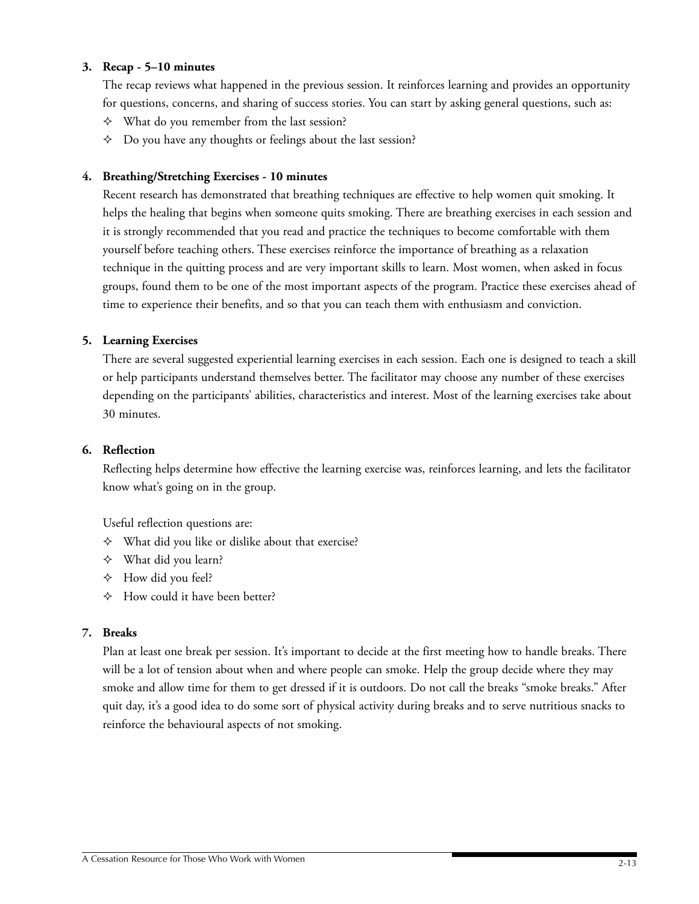### **3. Recap - 5–10 minutes**

The recap reviews what happened in the previous session. It reinforces learning and provides an opportunity for questions, concerns, and sharing of success stories. You can start by asking general questions, such as:

- $\Diamond$  What do you remember from the last session?
- $\triangle$  Do you have any thoughts or feelings about the last session?

#### **4. Breathing/Stretching Exercises - 10 minutes**

Recent research has demonstrated that breathing techniques are effective to help women quit smoking. It helps the healing that begins when someone quits smoking. There are breathing exercises in each session and it is strongly recommended that you read and practice the techniques to become comfortable with them yourself before teaching others. These exercises reinforce the importance of breathing as a relaxation technique in the quitting process and are very important skills to learn. Most women, when asked in focus groups, found them to be one of the most important aspects of the program. Practice these exercises ahead of time to experience their benefits, and so that you can teach them with enthusiasm and conviction.

#### **5. Learning Exercises**

There are several suggested experiential learning exercises in each session. Each one is designed to teach a skill or help participants understand themselves better. The facilitator may choose any number of these exercises depending on the participants' abilities, characteristics and interest. Most of the learning exercises take about 30 minutes.

#### **6. Reflection**

Reflecting helps determine how effective the learning exercise was, reinforces learning, and lets the facilitator know what's going on in the group.

Useful reflection questions are:

- $\Diamond$  What did you like or dislike about that exercise?
- $\Diamond$  What did you learn?
- $\triangle$  How did you feel?
- $\triangle$  How could it have been better?

#### **7. Breaks**

Plan at least one break per session. It's important to decide at the first meeting how to handle breaks. There will be a lot of tension about when and where people can smoke. Help the group decide where they may smoke and allow time for them to get dressed if it is outdoors. Do not call the breaks "smoke breaks." After quit day, it's a good idea to do some sort of physical activity during breaks and to serve nutritious snacks to reinforce the behavioural aspects of not smoking.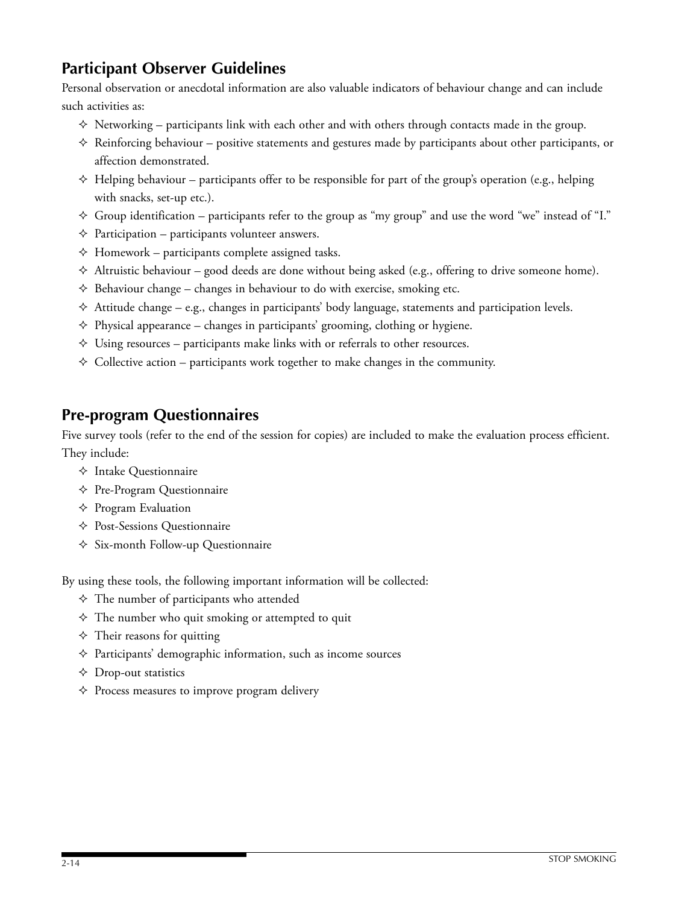# **Participant Observer Guidelines**

Personal observation or anecdotal information are also valuable indicators of behaviour change and can include such activities as:

- $\Diamond$  Networking participants link with each other and with others through contacts made in the group.
- $\Diamond$  Reinforcing behaviour positive statements and gestures made by participants about other participants, or affection demonstrated.
- $\Diamond$  Helping behaviour participants offer to be responsible for part of the group's operation (e.g., helping with snacks, set-up etc.).
- $\Diamond$  Group identification participants refer to the group as "my group" and use the word "we" instead of "I."
- $\Diamond$  Participation participants volunteer answers.
- $\triangle$  Homework participants complete assigned tasks.
- $\Diamond$  Altruistic behaviour good deeds are done without being asked (e.g., offering to drive someone home).
- $\Diamond$  Behaviour change changes in behaviour to do with exercise, smoking etc.
- $\triangle$  Attitude change e.g., changes in participants' body language, statements and participation levels.
- $\diamond$  Physical appearance changes in participants' grooming, clothing or hygiene.
- $\Diamond$  Using resources participants make links with or referrals to other resources.
- $\Diamond$  Collective action participants work together to make changes in the community.

# **Pre-program Questionnaires**

Five survey tools (refer to the end of the session for copies) are included to make the evaluation process efficient. They include:

- $\Diamond$  Intake Questionnaire
- $\triangle$  Pre-Program Questionnaire
- $\Diamond$  Program Evaluation
- Post-Sessions Questionnaire
- $\Diamond$  Six-month Follow-up Questionnaire

By using these tools, the following important information will be collected:

- $\Diamond$  The number of participants who attended
- $\Diamond$  The number who quit smoking or attempted to quit
- $\Diamond$  Their reasons for quitting
- $\Diamond$  Participants' demographic information, such as income sources
- $\triangle$  Drop-out statistics
- $\Diamond$  Process measures to improve program delivery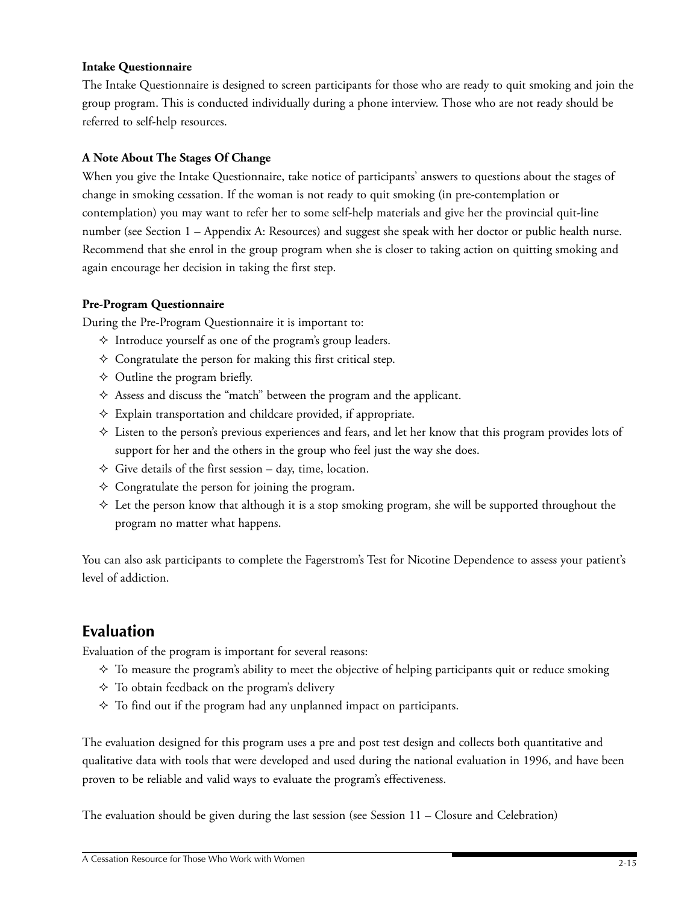### **Intake Questionnaire**

The Intake Questionnaire is designed to screen participants for those who are ready to quit smoking and join the group program. This is conducted individually during a phone interview. Those who are not ready should be referred to self-help resources.

## **A Note About The Stages Of Change**

When you give the Intake Questionnaire, take notice of participants' answers to questions about the stages of change in smoking cessation. If the woman is not ready to quit smoking (in pre-contemplation or contemplation) you may want to refer her to some self-help materials and give her the provincial quit-line number (see Section 1 – Appendix A: Resources) and suggest she speak with her doctor or public health nurse. Recommend that she enrol in the group program when she is closer to taking action on quitting smoking and again encourage her decision in taking the first step.

## **Pre-Program Questionnaire**

During the Pre-Program Questionnaire it is important to:

- $\Diamond$  Introduce yourself as one of the program's group leaders.
- $\Diamond$  Congratulate the person for making this first critical step.
- $\Diamond$  Outline the program briefly.
- Assess and discuss the "match" between the program and the applicant.
- $\triangle$  Explain transportation and childcare provided, if appropriate.
- Listen to the person's previous experiences and fears, and let her know that this program provides lots of support for her and the others in the group who feel just the way she does.
- $\Diamond$  Give details of the first session day, time, location.
- $\Diamond$  Congratulate the person for joining the program.
- $\Diamond$  Let the person know that although it is a stop smoking program, she will be supported throughout the program no matter what happens.

You can also ask participants to complete the Fagerstrom's Test for Nicotine Dependence to assess your patient's level of addiction.

# **Evaluation**

Evaluation of the program is important for several reasons:

- $\diamond$  To measure the program's ability to meet the objective of helping participants quit or reduce smoking
- $\Diamond$  To obtain feedback on the program's delivery
- $\Diamond$  To find out if the program had any unplanned impact on participants.

The evaluation designed for this program uses a pre and post test design and collects both quantitative and qualitative data with tools that were developed and used during the national evaluation in 1996, and have been proven to be reliable and valid ways to evaluate the program's effectiveness.

The evaluation should be given during the last session (see Session 11 – Closure and Celebration)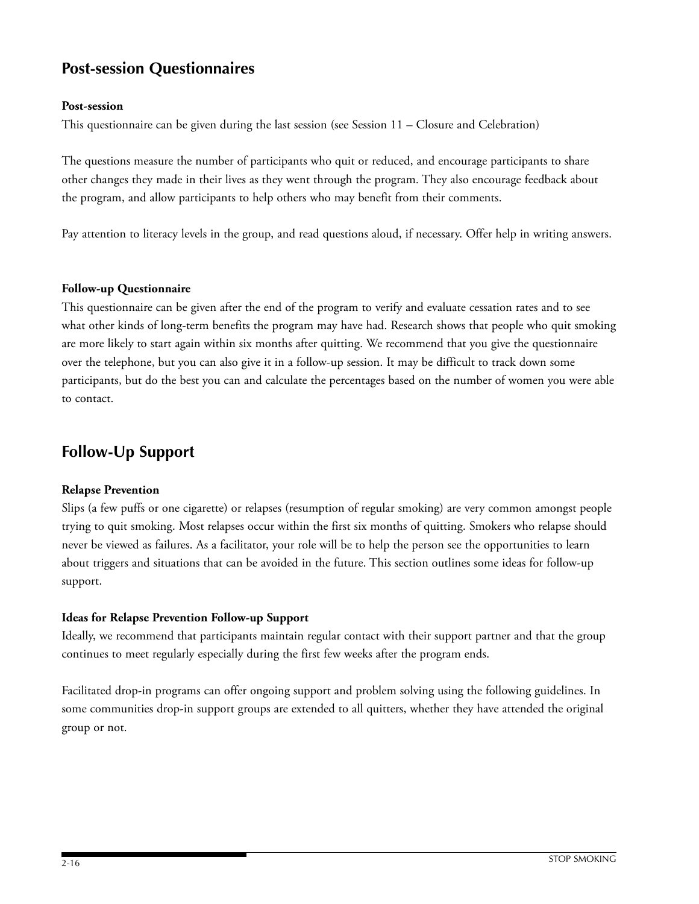# **Post-session Questionnaires**

## **Post-session**

This questionnaire can be given during the last session (see Session 11 – Closure and Celebration)

The questions measure the number of participants who quit or reduced, and encourage participants to share other changes they made in their lives as they went through the program. They also encourage feedback about the program, and allow participants to help others who may benefit from their comments.

Pay attention to literacy levels in the group, and read questions aloud, if necessary. Offer help in writing answers.

### **Follow-up Questionnaire**

This questionnaire can be given after the end of the program to verify and evaluate cessation rates and to see what other kinds of long-term benefits the program may have had. Research shows that people who quit smoking are more likely to start again within six months after quitting. We recommend that you give the questionnaire over the telephone, but you can also give it in a follow-up session. It may be difficult to track down some participants, but do the best you can and calculate the percentages based on the number of women you were able to contact.

# **Follow-Up Support**

### **Relapse Prevention**

Slips (a few puffs or one cigarette) or relapses (resumption of regular smoking) are very common amongst people trying to quit smoking. Most relapses occur within the first six months of quitting. Smokers who relapse should never be viewed as failures. As a facilitator, your role will be to help the person see the opportunities to learn about triggers and situations that can be avoided in the future. This section outlines some ideas for follow-up support.

### **Ideas for Relapse Prevention Follow-up Support**

Ideally, we recommend that participants maintain regular contact with their support partner and that the group continues to meet regularly especially during the first few weeks after the program ends.

Facilitated drop-in programs can offer ongoing support and problem solving using the following guidelines. In some communities drop-in support groups are extended to all quitters, whether they have attended the original group or not.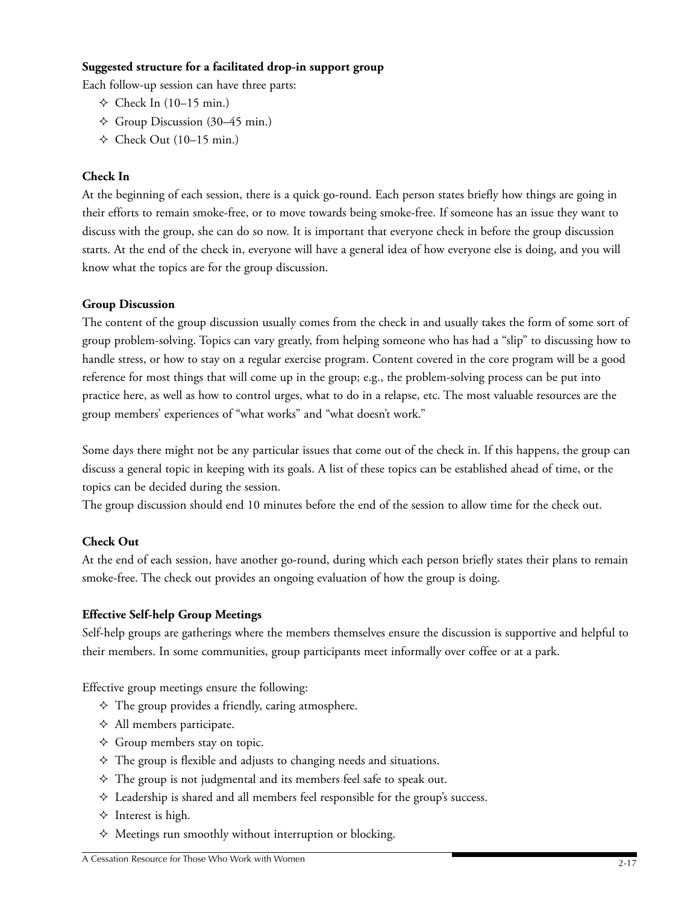## **Suggested structure for a facilitated drop-in support group**

Each follow-up session can have three parts:

- $\div$  Check In (10–15 min.)
- $\triangle$  Group Discussion (30–45 min.)
- $\triangle$  Check Out (10–15 min.)

## **Check In**

At the beginning of each session, there is a quick go-round. Each person states briefly how things are going in their efforts to remain smoke-free, or to move towards being smoke-free. If someone has an issue they want to discuss with the group, she can do so now. It is important that everyone check in before the group discussion starts. At the end of the check in, everyone will have a general idea of how everyone else is doing, and you will know what the topics are for the group discussion.

## **Group Discussion**

The content of the group discussion usually comes from the check in and usually takes the form of some sort of group problem-solving. Topics can vary greatly, from helping someone who has had a "slip" to discussing how to handle stress, or how to stay on a regular exercise program. Content covered in the core program will be a good reference for most things that will come up in the group; e.g., the problem-solving process can be put into practice here, as well as how to control urges, what to do in a relapse, etc. The most valuable resources are the group members' experiences of "what works" and "what doesn't work."

Some days there might not be any particular issues that come out of the check in. If this happens, the group can discuss a general topic in keeping with its goals. A list of these topics can be established ahead of time, or the topics can be decided during the session.

The group discussion should end 10 minutes before the end of the session to allow time for the check out.

# **Check Out**

At the end of each session, have another go-round, during which each person briefly states their plans to remain smoke-free. The check out provides an ongoing evaluation of how the group is doing.

### **Effective Self-help Group Meetings**

Self-help groups are gatherings where the members themselves ensure the discussion is supportive and helpful to their members. In some communities, group participants meet informally over coffee or at a park.

Effective group meetings ensure the following:

- $\Diamond$  The group provides a friendly, caring atmosphere.
- $\Diamond$  All members participate.
- $\Diamond$  Group members stay on topic.
- $\Diamond$  The group is flexible and adjusts to changing needs and situations.
- $\Diamond$  The group is not judgmental and its members feel safe to speak out.
- $\Diamond$  Leadership is shared and all members feel responsible for the group's success.
- $\Diamond$  Interest is high.
- $\Diamond$  Meetings run smoothly without interruption or blocking.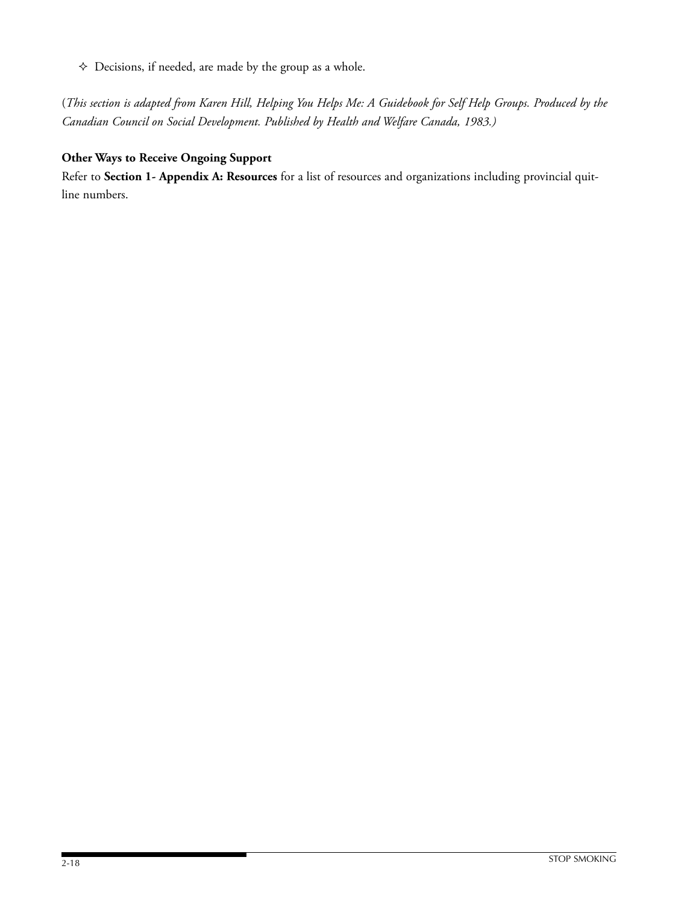$\diamond$  Decisions, if needed, are made by the group as a whole.

(*This section is adapted from Karen Hill, Helping You Helps Me: A Guidebook for Self Help Groups. Produced by the Canadian Council on Social Development. Published by Health and Welfare Canada, 1983.)*

# **Other Ways to Receive Ongoing Support**

Refer to **Section 1- Appendix A: Resources** for a list of resources and organizations including provincial quitline numbers.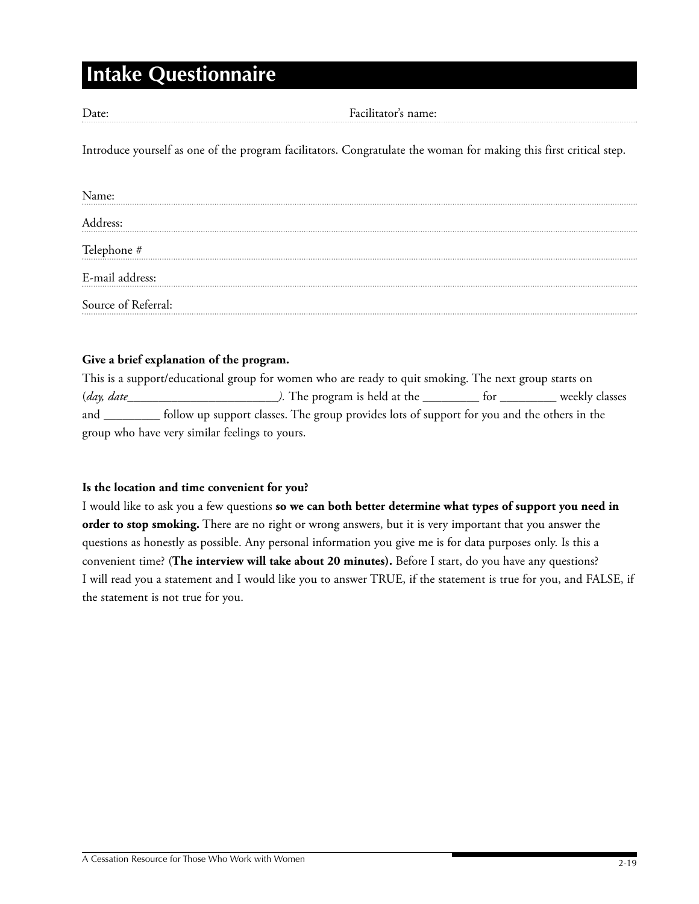# **Intake Questionnaire**

Date: Facilitator's name:

Introduce yourself as one of the program facilitators. Congratulate the woman for making this first critical step.

| Name:               |  |  |  |
|---------------------|--|--|--|
| Address:            |  |  |  |
| Telephone #         |  |  |  |
| E-mail address:     |  |  |  |
| Source of Referral: |  |  |  |

### **Give a brief explanation of the program.**

This is a support/educational group for women who are ready to quit smoking. The next group starts on (*day, date\_\_\_\_\_\_\_\_\_\_\_\_\_\_\_\_\_\_\_\_\_\_\_\_).* The program is held at the \_\_\_\_\_\_\_\_\_ for \_\_\_\_\_\_\_\_\_ weekly classes and \_\_\_\_\_\_\_\_\_ follow up support classes. The group provides lots of support for you and the others in the group who have very similar feelings to yours.

#### **Is the location and time convenient for you?**

I would like to ask you a few questions **so we can both better determine what types of support you need in order to stop smoking.** There are no right or wrong answers, but it is very important that you answer the questions as honestly as possible. Any personal information you give me is for data purposes only. Is this a convenient time? (**The interview will take about 20 minutes).** Before I start, do you have any questions? I will read you a statement and I would like you to answer TRUE, if the statement is true for you, and FALSE, if the statement is not true for you.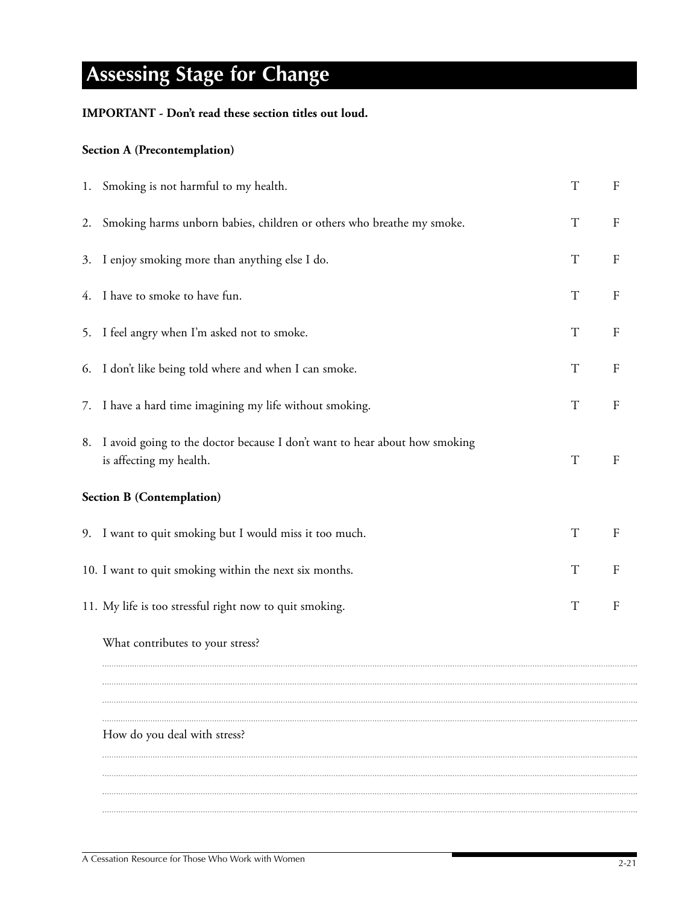# **Assessing Stage for Change**

# **IMPORTANT - Don't read these section titles out loud.**

# **Section A (Precontemplation)**

|    | 1. Smoking is not harmful to my health.                                                               | $\mathbf T$ | $\boldsymbol{\mathrm{F}}$ |
|----|-------------------------------------------------------------------------------------------------------|-------------|---------------------------|
| 2. | Smoking harms unborn babies, children or others who breathe my smoke.                                 | $\mathbf T$ | $\mathbf F$               |
|    | 3. I enjoy smoking more than anything else I do.                                                      | $\mathbf T$ | $\rm F$                   |
|    | 4. I have to smoke to have fun.                                                                       | $\mathbf T$ | $\rm F$                   |
|    | 5. I feel angry when I'm asked not to smoke.                                                          | $\mathbf T$ | $\rm F$                   |
|    | 6. I don't like being told where and when I can smoke.                                                | $\mathbf T$ | $\boldsymbol{\mathrm{F}}$ |
|    | 7. I have a hard time imagining my life without smoking.                                              | $\mathbf T$ | $\rm F$                   |
| 8. | I avoid going to the doctor because I don't want to hear about how smoking<br>is affecting my health. | $\mathbf T$ | $\rm F$                   |
|    | <b>Section B (Contemplation)</b>                                                                      |             |                           |
|    | 9. I want to quit smoking but I would miss it too much.                                               | $\mathbf T$ | $\mathbf F$               |
|    | 10. I want to quit smoking within the next six months.                                                | $\mathbf T$ | $\rm F$                   |
|    | 11. My life is too stressful right now to quit smoking.                                               | $\mathbf T$ | $\mathbf F$               |
|    | What contributes to your stress?                                                                      |             |                           |
|    |                                                                                                       |             |                           |
|    |                                                                                                       |             |                           |
|    | How do you deal with stress?                                                                          |             |                           |
|    |                                                                                                       |             |                           |
|    |                                                                                                       |             |                           |
|    |                                                                                                       |             |                           |
|    |                                                                                                       |             |                           |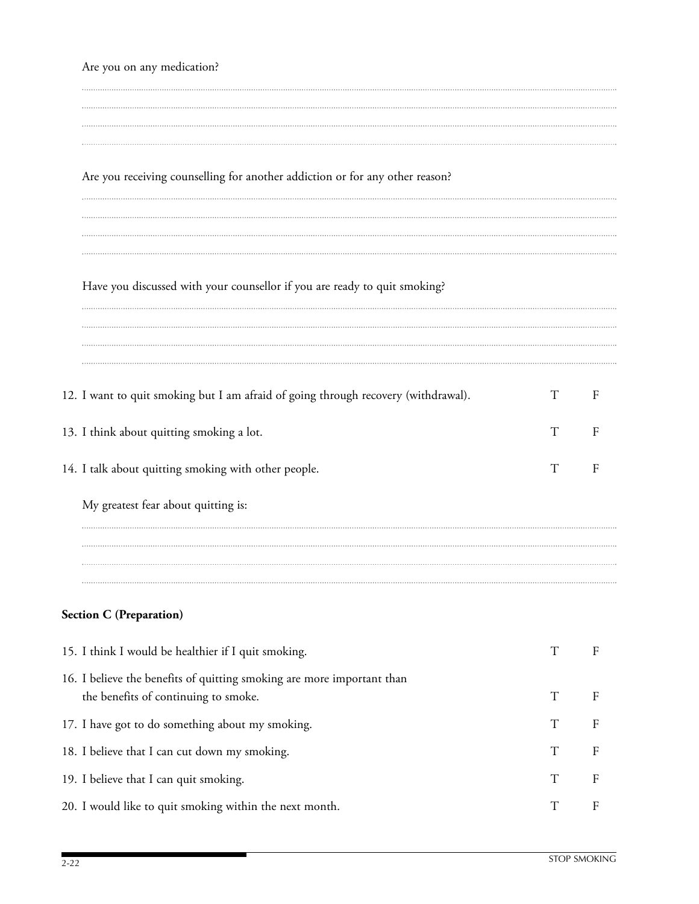# Are you on any medication? Are you receiving counselling for another addiction or for any other reason? Have you discussed with your counsellor if you are ready to quit smoking? 12. I want to quit smoking but I am afraid of going through recovery (withdrawal). T F 13. I think about quitting smoking a lot. T F 14. I talk about quitting smoking with other people. T F My greatest fear about quitting is:

# **Section C (Preparation)**

| 15. I think I would be healthier if I quit smoking.                                                            |                 |                |
|----------------------------------------------------------------------------------------------------------------|-----------------|----------------|
| 16. I believe the benefits of quitting smoking are more important than<br>the benefits of continuing to smoke. | $T_{\parallel}$ |                |
| 17. I have got to do something about my smoking.                                                               | T               | F              |
| 18. I believe that I can cut down my smoking.                                                                  | T               |                |
| 19. I believe that I can quit smoking.                                                                         | T               | $\overline{F}$ |
| 20. I would like to quit smoking within the next month.                                                        | T               |                |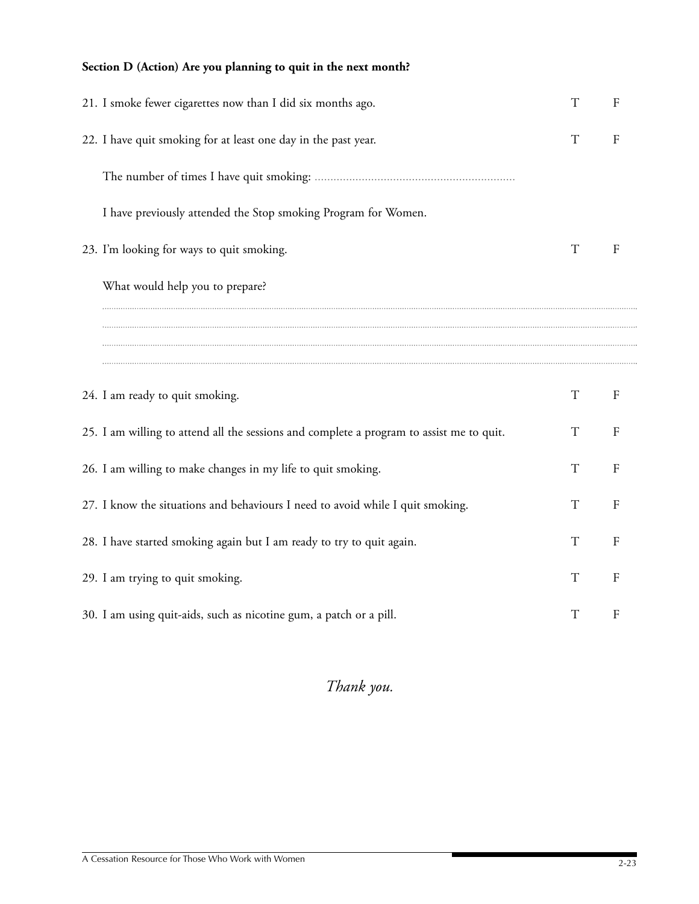# **Section D (Action) Are you planning to quit in the next month?**

| 21. I smoke fewer cigarettes now than I did six months ago.                              | T           | F            |
|------------------------------------------------------------------------------------------|-------------|--------------|
| 22. I have quit smoking for at least one day in the past year.                           | T           | $\mathbf{F}$ |
|                                                                                          |             |              |
| I have previously attended the Stop smoking Program for Women.                           |             |              |
| 23. I'm looking for ways to quit smoking.                                                | T           | F            |
| What would help you to prepare?                                                          |             |              |
|                                                                                          |             |              |
|                                                                                          |             |              |
| 24. I am ready to quit smoking.                                                          | $\mathbf T$ | F            |
| 25. I am willing to attend all the sessions and complete a program to assist me to quit. | $\mathbf T$ | ${\rm F}$    |
| 26. I am willing to make changes in my life to quit smoking.                             | T           | $\mathbf{F}$ |
| 27. I know the situations and behaviours I need to avoid while I quit smoking.           | T           | $\mathbf{F}$ |
| 28. I have started smoking again but I am ready to try to quit again.                    | T           | F            |
| 29. I am trying to quit smoking.                                                         | T           | $\mathbf{F}$ |
|                                                                                          |             |              |

# *Thank you.*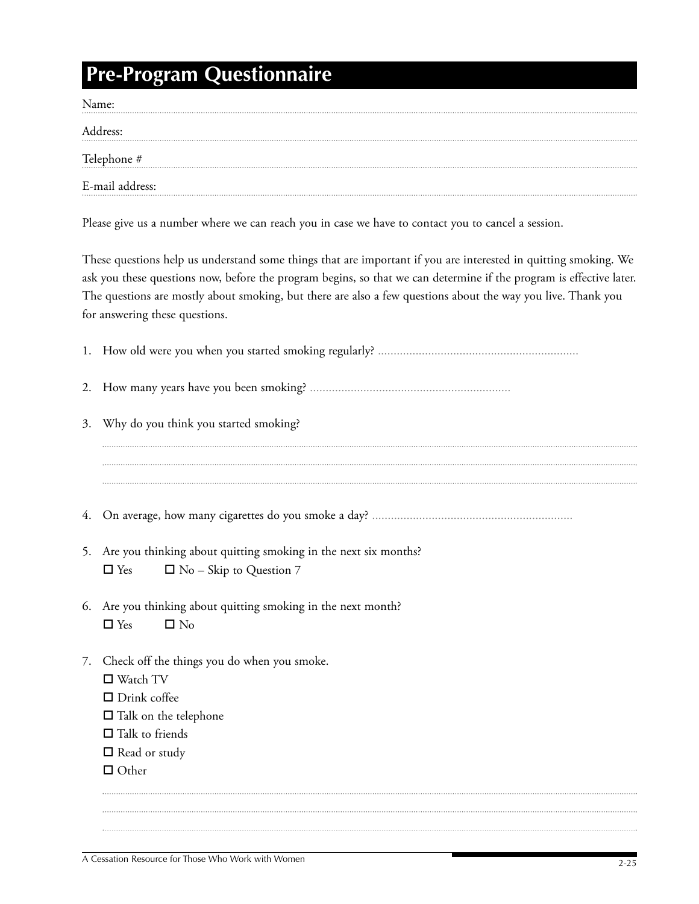# **Pre-Program Questionnaire**

| Name:           |
|-----------------|
| Address:        |
| Telephone #     |
| E-mail address: |

Please give us a number where we can reach you in case we have to contact you to cancel a session.

These questions help us understand some things that are important if you are interested in quitting smoking. We ask you these questions now, before the program begins, so that we can determine if the program is effective later. The questions are mostly about smoking, but there are also a few questions about the way you live. Thank you for answering these questions.

| 3. | Why do you think you started smoking?                                                                              |
|----|--------------------------------------------------------------------------------------------------------------------|
|    |                                                                                                                    |
|    |                                                                                                                    |
|    |                                                                                                                    |
|    | 5. Are you thinking about quitting smoking in the next six months?<br>$\Box$ Yes<br>$\Box$ No – Skip to Question 7 |
|    | 6. Are you thinking about quitting smoking in the next month?<br>$\Box$ Yes<br>$\square$ No                        |
| 7. | Check off the things you do when you smoke.<br>$\Box$ Watch TV<br>$\Box$ Drink coffee                              |
|    | $\Box$ Talk on the telephone                                                                                       |
|    | $\Box$ Talk to friends                                                                                             |
|    | $\Box$ Read or study                                                                                               |
|    | $\Box$ Other                                                                                                       |
|    |                                                                                                                    |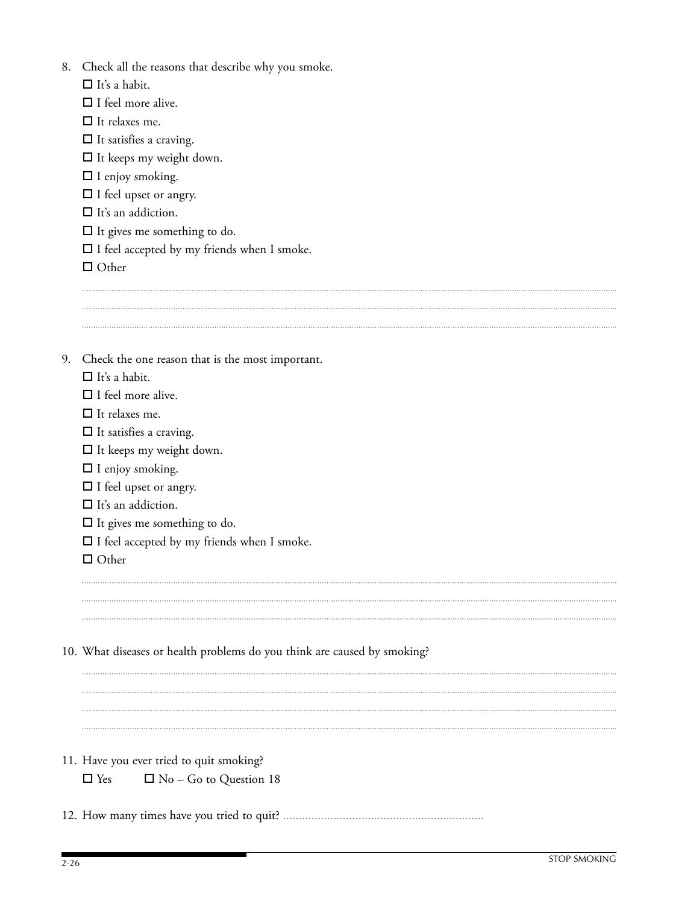| 8. | Check all the reasons that describe why you smoke.                       |
|----|--------------------------------------------------------------------------|
|    | $\Box$ It's a habit.                                                     |
|    | $\Box$ I feel more alive.                                                |
|    | $\Box$ It relaxes me.                                                    |
|    | $\Box$ It satisfies a craving.                                           |
|    | $\Box$ It keeps my weight down.                                          |
|    | $\Box$ I enjoy smoking.                                                  |
|    | $\Box$ I feel upset or angry.                                            |
|    | $\Box$ It's an addiction.                                                |
|    | $\Box$ It gives me something to do.                                      |
|    | $\Box$ I feel accepted by my friends when I smoke.                       |
|    | $\Box$ Other                                                             |
|    |                                                                          |
|    |                                                                          |
|    |                                                                          |
|    |                                                                          |
| 9. | Check the one reason that is the most important.                         |
|    | $\Box$ It's a habit.                                                     |
|    | $\Box$ I feel more alive.                                                |
|    |                                                                          |
|    | $\Box$ It relaxes me.                                                    |
|    | $\Box$ It satisfies a craving.                                           |
|    | $\Box$ It keeps my weight down.                                          |
|    | $\Box$ I enjoy smoking.                                                  |
|    | $\hfill\Box$<br>I feel upset or angry.                                   |
|    | $\Box$ It's an addiction.                                                |
|    | $\Box$ It gives me something to do.                                      |
|    | $\Box$ I feel accepted by my friends when I smoke.                       |
|    | $\Box$ Other                                                             |
|    |                                                                          |
|    |                                                                          |
|    |                                                                          |
|    |                                                                          |
|    | 10. What diseases or health problems do you think are caused by smoking? |
|    |                                                                          |
|    |                                                                          |
|    |                                                                          |
|    |                                                                          |
|    |                                                                          |
|    | 11. Have you ever tried to quit smoking?                                 |
|    | $\Box$ Yes<br>$\Box$ No – Go to Question 18                              |
|    |                                                                          |
|    |                                                                          |
|    |                                                                          |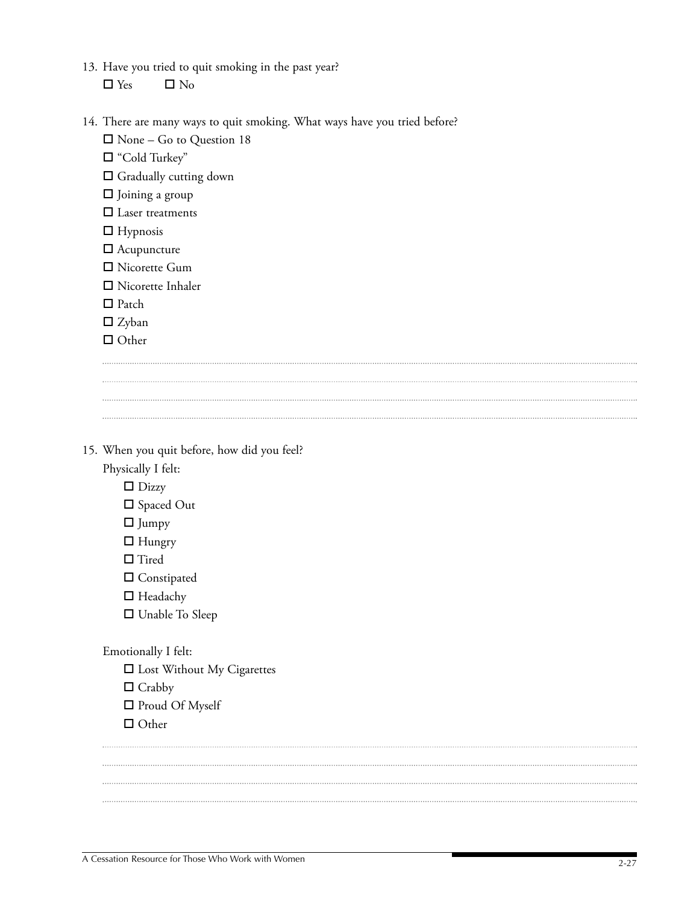- 13. Have you tried to quit smoking in the past year?  $\Box$  Yes  $\Box$  No
- 14. There are many ways to quit smoking. What ways have you tried before?

- $\Box$  None Go to Question 18
- "Cold Turkey"
- Gradually cutting down
- $\Box$  Joining a group
- □ Laser treatments
- $\Box$  Hypnosis
- Acupuncture
- □ Nicorette Gum
- □ Nicorette Inhaler

- $\Box$  Patch
- $\square$  Zyban
- □ Other

15. When you quit before, how did you feel?

Physically I felt:

- $\square$  Dizzy
- □ Spaced Out
- $\Box$  Jumpy
- $\Box$  Hungry
- $\Box$  <br> Tired
- □ Constipated
- □ Headachy
- □ Unable To Sleep

#### Emotionally I felt:

- □ Lost Without My Cigarettes
- $\Box$  Crabby
- □ Proud Of Myself
- $\Box$  Other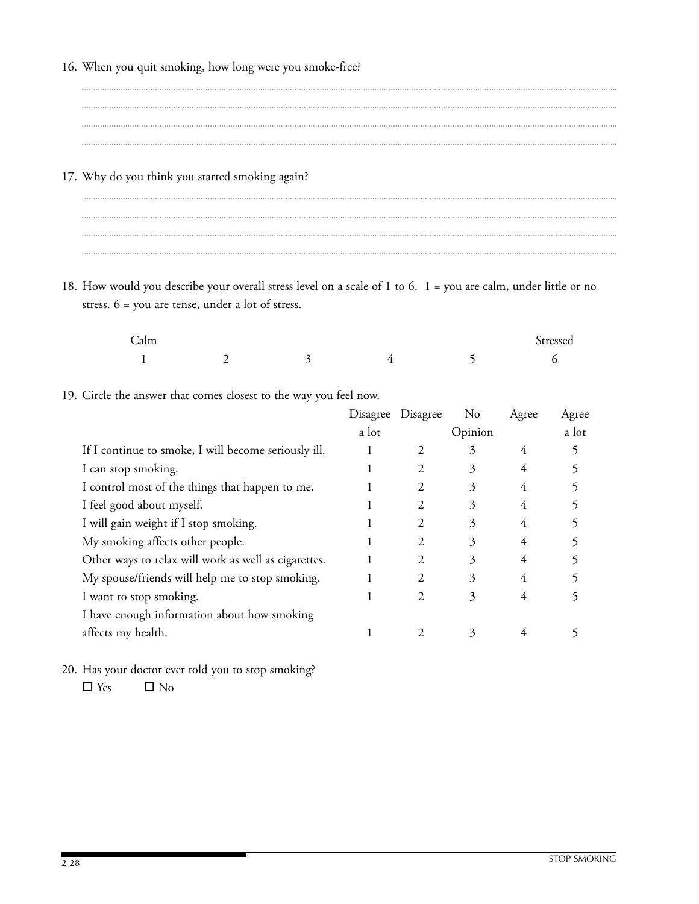- 16. When you quit smoking, how long were you smoke-free?
- 17. Why do you think you started smoking again?

18. How would you describe your overall stress level on a scale of 1 to 6. 1 = you are calm, under little or no stress. 6 = you are tense, under a lot of stress.

| $\sqrt{2}$<br>Calm |     |   |  | $\sim$<br>Stressed |
|--------------------|-----|---|--|--------------------|
|                    | . . | ັ |  |                    |

19. Circle the answer that comes closest to the way you feel now.

|                                                      | Disagree | Disagree | N <sub>0</sub> | Agree | Agree |
|------------------------------------------------------|----------|----------|----------------|-------|-------|
|                                                      | a lot    |          | Opinion        |       | a lot |
| If I continue to smoke, I will become seriously ill. |          |          | 3              | 4     |       |
| I can stop smoking.                                  |          |          | 3              | 4     |       |
| I control most of the things that happen to me.      |          |          | 3              | 4     |       |
| I feel good about myself.                            |          |          | 3              | 4     |       |
| I will gain weight if I stop smoking.                |          | 2        | 3              | 4     |       |
| My smoking affects other people.                     |          | 2        | 3              | 4     |       |
| Other ways to relax will work as well as cigarettes. |          | 2        | 3              | 4     |       |
| My spouse/friends will help me to stop smoking.      |          | 2        | 3              | 4     |       |
| I want to stop smoking.                              |          | 2.       | 3              |       |       |
| I have enough information about how smoking          |          |          |                |       |       |
| affects my health.                                   |          |          | 3              |       |       |
|                                                      |          |          |                |       |       |

20. Has your doctor ever told you to stop smoking?  $\Box$  Yes  $\Box$  No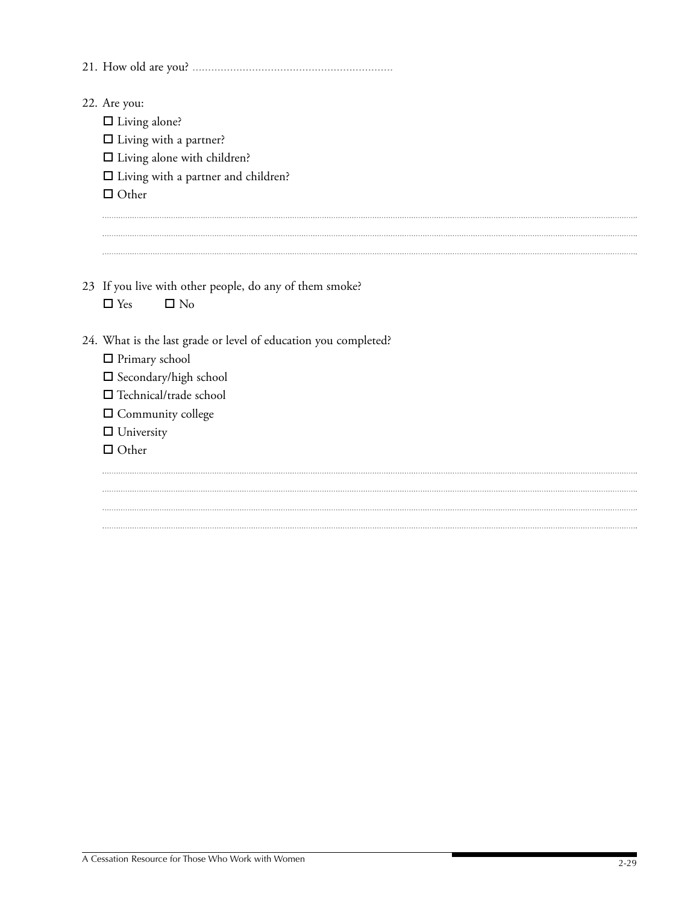| 22. Are you:                                                    |
|-----------------------------------------------------------------|
| $\Box$ Living alone?                                            |
| $\Box$ Living with a partner?                                   |
| $\square$ Living alone with children?                           |
| $\Box$ Living with a partner and children?                      |
| $\Box$ Other                                                    |
|                                                                 |
|                                                                 |
|                                                                 |
| 23 If you live with other people, do any of them smoke?         |
| $\square$ No<br>$\Box$ Yes                                      |
| 24. What is the last grade or level of education you completed? |
| $\Box$ Primary school                                           |
| $\square$ Secondary/high school                                 |
| $\Box$ Technical/trade school                                   |
| $\Box$ Community college                                        |
| $\Box$ University                                               |
| $\Box$ Other                                                    |
|                                                                 |
|                                                                 |
|                                                                 |
|                                                                 |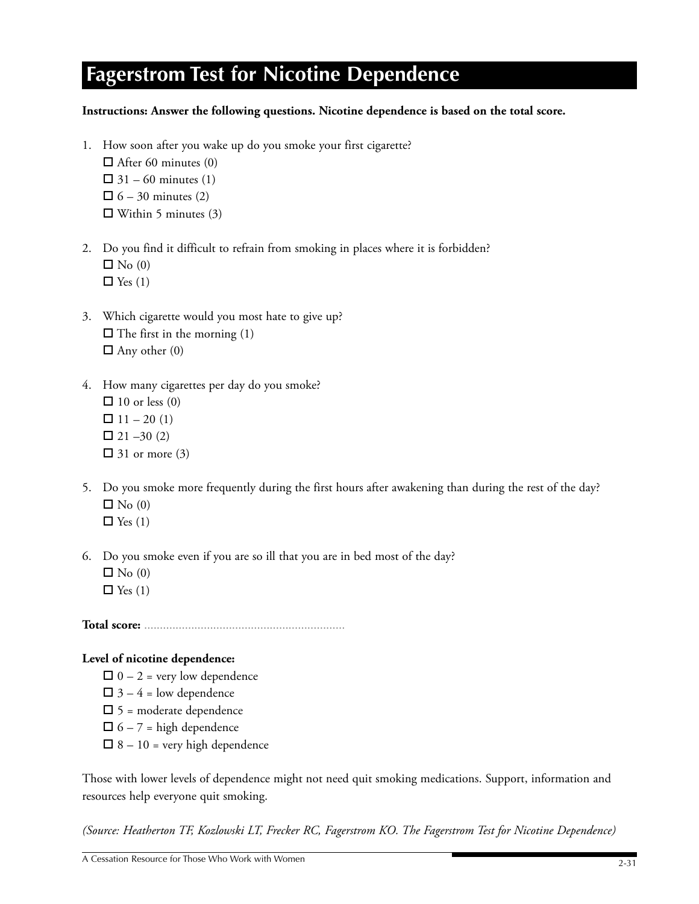# **Fagerstrom Test for Nicotine Dependence**

## **Instructions: Answer the following questions. Nicotine dependence is based on the total score.**

- 1. How soon after you wake up do you smoke your first cigarette?  $\Box$  After 60 minutes (0)  $\Box$  31 – 60 minutes (1)  $\Box$  6 – 30 minutes (2)  $\Box$  Within 5 minutes (3)
- 2. Do you find it difficult to refrain from smoking in places where it is forbidden?  $\Box$  No (0)  $\Box$  Yes (1)
- 3. Which cigarette would you most hate to give up?  $\Box$  The first in the morning (1)  $\Box$  Any other (0)
- 4. How many cigarettes per day do you smoke?  $\Box$  10 or less (0)  $\Box$  11 – 20 (1)  $\Box$  21 –30 (2)  $\Box$  31 or more (3)
- 5. Do you smoke more frequently during the first hours after awakening than during the rest of the day?  $\Box$  No (0)  $\Box$  Yes (1)
- 6. Do you smoke even if you are so ill that you are in bed most of the day?  $\Box$  No (0)  $\Box$  Yes (1)

**Total score:** ................................................................

### **Level of nicotine dependence:**

 $\Box$  0 – 2 = very low dependence  $\Box$  3 – 4 = low dependence  $\Box$  5 = moderate dependence  $\Box$  6 – 7 = high dependence  $\Box$  8 – 10 = very high dependence

Those with lower levels of dependence might not need quit smoking medications. Support, information and resources help everyone quit smoking.

*(Source: Heatherton TF, Kozlowski LT, Frecker RC, Fagerstrom KO. The Fagerstrom Test for Nicotine Dependence)*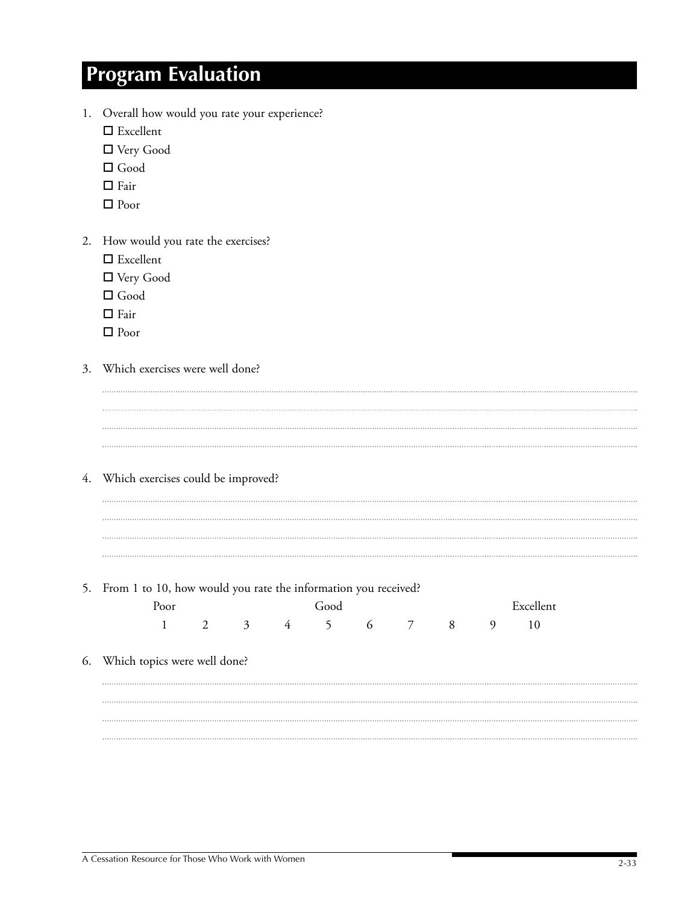# **Program Evaluation**

- 1. Overall how would you rate your experience?
	- □ Excellent
	- Very Good
	- Good
	- $\Box$  Fair
	- □ Poor
- 2. How would you rate the exercises?
	- □ Excellent
	- Very Good
	- □ Good
	- $\Box$  Fair
	- □ Poor
- 3. Which exercises were well done?
	-

4. Which exercises could be improved?

### 5. From 1 to 10, how would you rate the information you received?

|                                 | Poor         |   |             | Good |  |    | Excellent |  |
|---------------------------------|--------------|---|-------------|------|--|----|-----------|--|
|                                 | $\mathbf{1}$ | 2 | 3 4 5 6 7 8 |      |  | -9 | 10        |  |
| 6. Which topics were well done? |              |   |             |      |  |    |           |  |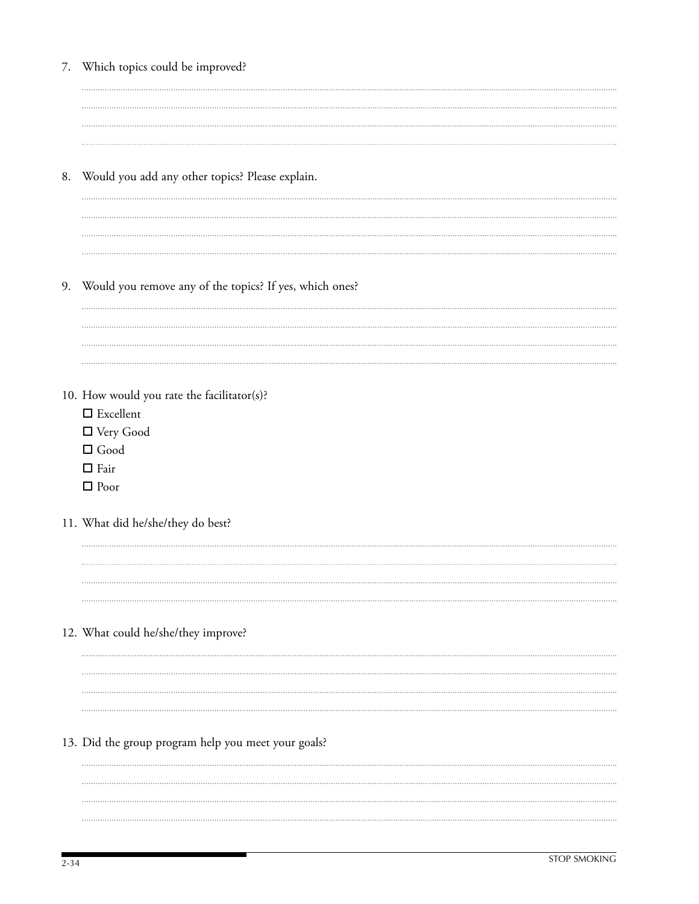| 7. Which topics could be improved?                         |
|------------------------------------------------------------|
|                                                            |
|                                                            |
|                                                            |
|                                                            |
| 8. Would you add any other topics? Please explain.         |
|                                                            |
|                                                            |
|                                                            |
|                                                            |
| 9. Would you remove any of the topics? If yes, which ones? |
|                                                            |
|                                                            |
|                                                            |
|                                                            |
| 10. How would you rate the facilitator(s)?                 |
| $\square$ Excellent                                        |
| $\hfill \square$ Very Good                                 |
| $\Box$ Good                                                |
| $\hfill \square$ Fair                                      |
| $\Box$ Poor                                                |
|                                                            |
| 11. What did he/she/they do best?                          |
|                                                            |
|                                                            |
|                                                            |
|                                                            |
|                                                            |
| 12. What could he/she/they improve?                        |
|                                                            |
|                                                            |
|                                                            |
|                                                            |
| 13. Did the group program help you meet your goals?        |
|                                                            |
|                                                            |
|                                                            |
|                                                            |
|                                                            |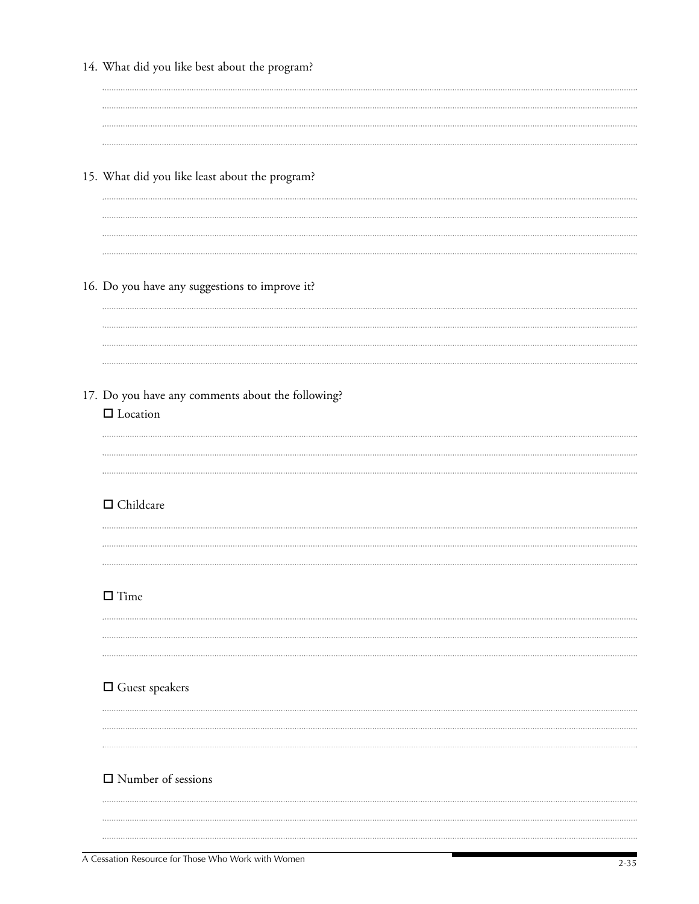| 14. What did you like best about the program?     |
|---------------------------------------------------|
|                                                   |
|                                                   |
|                                                   |
|                                                   |
| 15. What did you like least about the program?    |
|                                                   |
|                                                   |
|                                                   |
|                                                   |
|                                                   |
| 16. Do you have any suggestions to improve it?    |
|                                                   |
|                                                   |
|                                                   |
|                                                   |
| 17. Do you have any comments about the following? |
| $\hfill\Box$<br><br>Location                      |
|                                                   |
|                                                   |
|                                                   |
| $\hfill \square$ Childcare                        |
|                                                   |
|                                                   |
|                                                   |
|                                                   |
| $\square$ Time                                    |
|                                                   |
|                                                   |
|                                                   |
| $\Box$ Guest speakers                             |
|                                                   |
|                                                   |
|                                                   |
|                                                   |
| $\Box$ Number of sessions                         |
|                                                   |
|                                                   |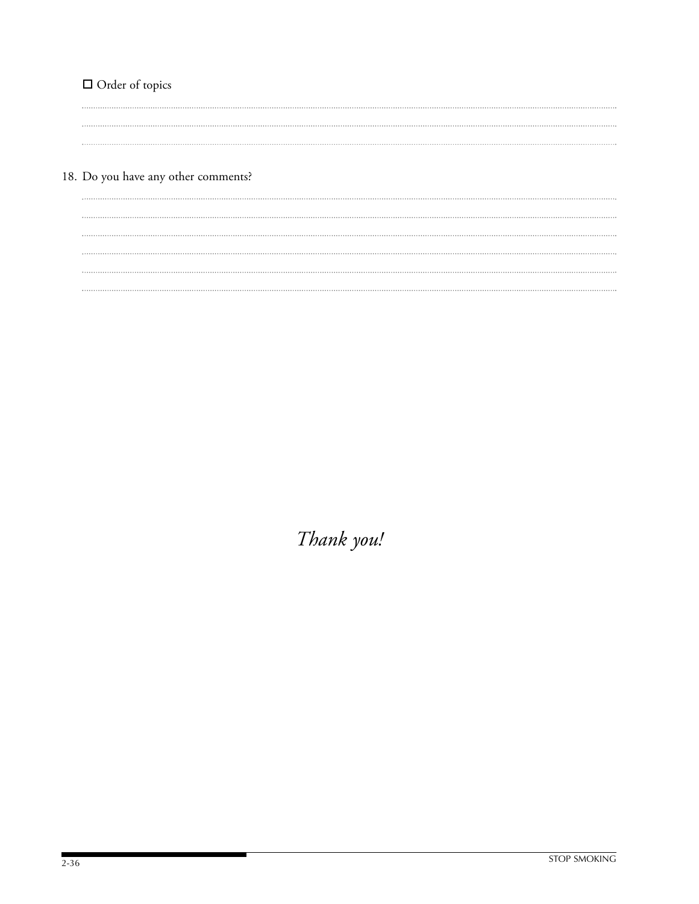# □ Order of topics

18. Do you have any other comments?

*Thank you!*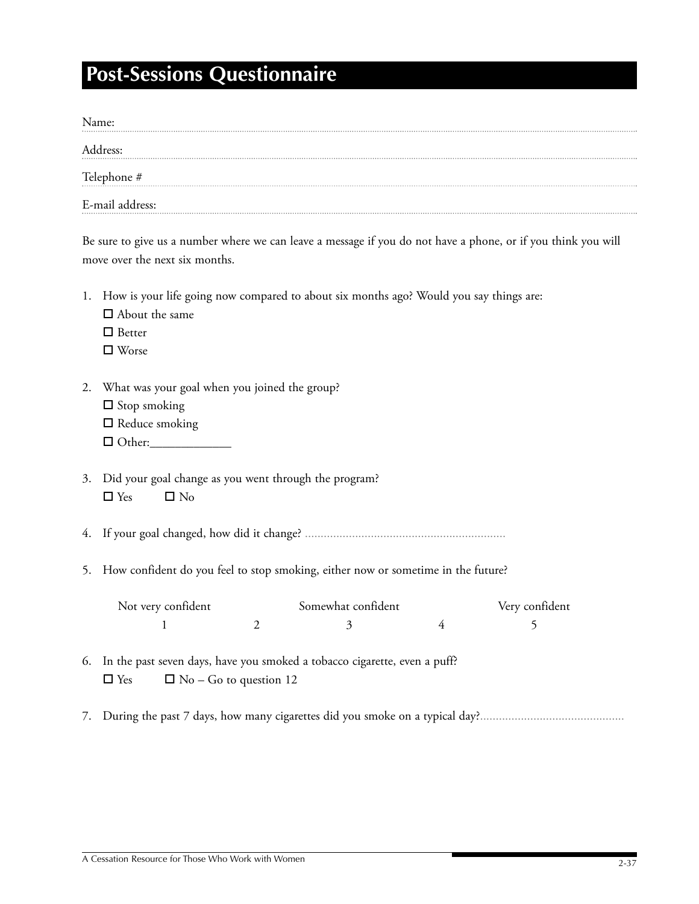# **Post-Sessions Questionnaire**

| Name:           |
|-----------------|
| Address:        |
| Telephone #     |
| E-mail address: |

Be sure to give us a number where we can leave a message if you do not have a phone, or if you think you will move over the next six months.

|    | 1. How is your life going now compared to about six months ago? Would you say things are:<br>$\Box$ About the same<br>$\Box$ Better |
|----|-------------------------------------------------------------------------------------------------------------------------------------|
|    | $\square$ Worse                                                                                                                     |
| 2. | What was your goal when you joined the group?<br>$\Box$ Stop smoking<br>$\Box$ Reduce smoking                                       |
| 3. | Did your goal change as you went through the program?<br>$\Box$ Yes<br>$\square$ No                                                 |
|    |                                                                                                                                     |
| 5. | How confident do you feel to stop smoking, either now or sometime in the future?                                                    |
|    | Not very confident<br>Somewhat confident<br>Very confident                                                                          |
|    | 2<br>5<br>1<br>3<br>4                                                                                                               |
| 6. | In the past seven days, have you smoked a tobacco cigarette, even a puff?<br>$\Box$ No – Go to question 12<br>$\Box$ Yes            |
|    |                                                                                                                                     |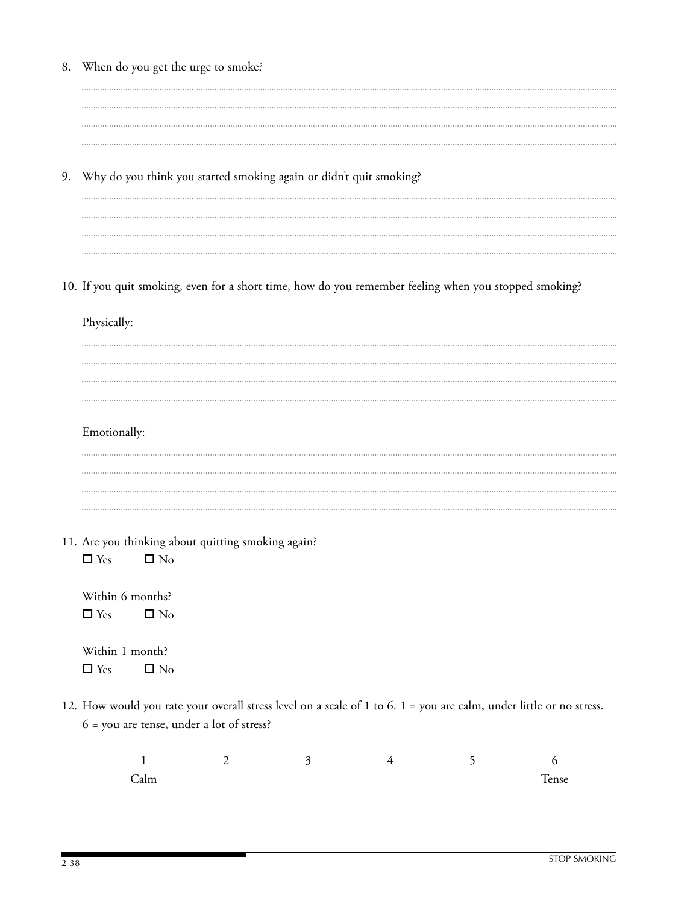|    | 8. When do you get the urge to smoke?                                                                                                                            |   |  |  |
|----|------------------------------------------------------------------------------------------------------------------------------------------------------------------|---|--|--|
|    |                                                                                                                                                                  |   |  |  |
|    |                                                                                                                                                                  |   |  |  |
|    |                                                                                                                                                                  |   |  |  |
| 9. | Why do you think you started smoking again or didn't quit smoking?                                                                                               |   |  |  |
|    |                                                                                                                                                                  |   |  |  |
|    |                                                                                                                                                                  |   |  |  |
|    |                                                                                                                                                                  |   |  |  |
|    | 10. If you quit smoking, even for a short time, how do you remember feeling when you stopped smoking?                                                            |   |  |  |
|    | Physically:                                                                                                                                                      |   |  |  |
|    |                                                                                                                                                                  |   |  |  |
|    |                                                                                                                                                                  |   |  |  |
|    |                                                                                                                                                                  |   |  |  |
|    |                                                                                                                                                                  |   |  |  |
|    | Emotionally:                                                                                                                                                     |   |  |  |
|    |                                                                                                                                                                  |   |  |  |
|    |                                                                                                                                                                  |   |  |  |
|    |                                                                                                                                                                  |   |  |  |
|    |                                                                                                                                                                  |   |  |  |
|    | 11. Are you thinking about quitting smoking again?                                                                                                               |   |  |  |
|    | $\square$ No<br>$\Box$ Yes                                                                                                                                       |   |  |  |
|    | Within 6 months?                                                                                                                                                 |   |  |  |
|    | $\Box$ Yes<br>$\square$ No                                                                                                                                       |   |  |  |
|    |                                                                                                                                                                  |   |  |  |
|    | Within 1 month?                                                                                                                                                  |   |  |  |
|    | $\square$ No<br>$\Box$ Yes                                                                                                                                       |   |  |  |
|    | 12. How would you rate your overall stress level on a scale of 1 to 6. 1 = you are calm, under little or no stress.<br>6 = you are tense, under a lot of stress? |   |  |  |
|    |                                                                                                                                                                  |   |  |  |
|    |                                                                                                                                                                  | 2 |  |  |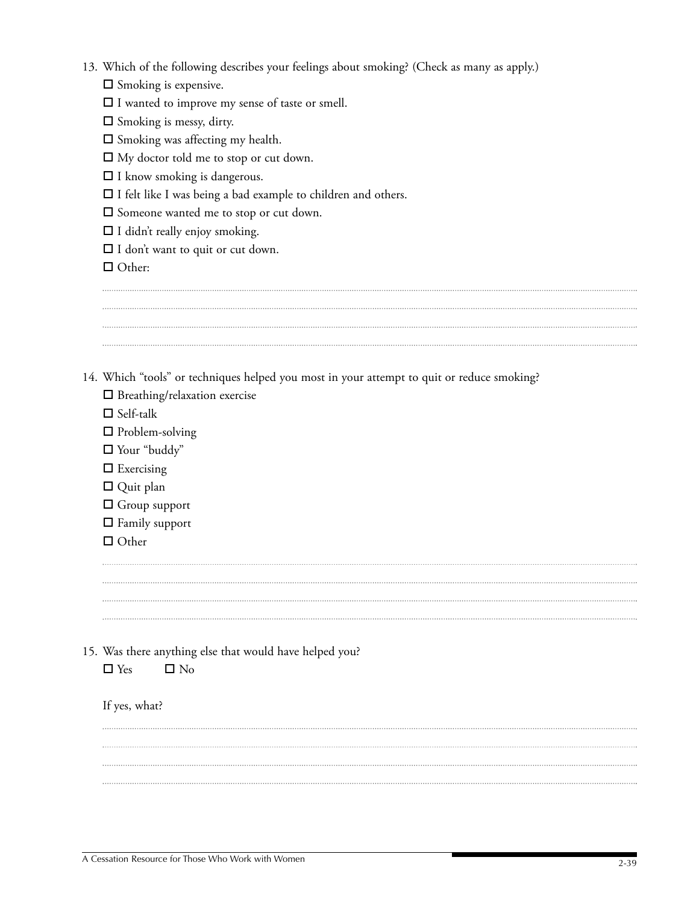| 13. Which of the following describes your feelings about smoking? (Check as many as apply.) |  |  |  |  |  |  |  |
|---------------------------------------------------------------------------------------------|--|--|--|--|--|--|--|
|---------------------------------------------------------------------------------------------|--|--|--|--|--|--|--|

 $\square$  Smoking is expensive.

 $\Box$  I wanted to improve my sense of taste or smell.

 $\Box$  Smoking is messy, dirty.

 $\square$  Smoking was affecting my health.

 $\Box$  My doctor told me to stop or cut down.

 $\Box$  I know smoking is dangerous.

 $\Box$  I felt like I was being a bad example to children and others.

Someone wanted me to stop or cut down.

 $\Box$  I didn't really enjoy smoking.

 $\square$  I don't want to quit or cut down.

□ Other:

14. Which "tools" or techniques helped you most in your attempt to quit or reduce smoking?

 $\square$  Breathing/relaxation exercise

- $\square$  Self-talk
- □ Problem-solving
- Your "buddy"
- $\square$  Exercising
- Quit plan
- Group support
- $\Box$  Family support
- $\Box$  Other

- 15. Was there anything else that would have helped you?
	- $\Box$  Yes  $\Box$  No

If yes, what?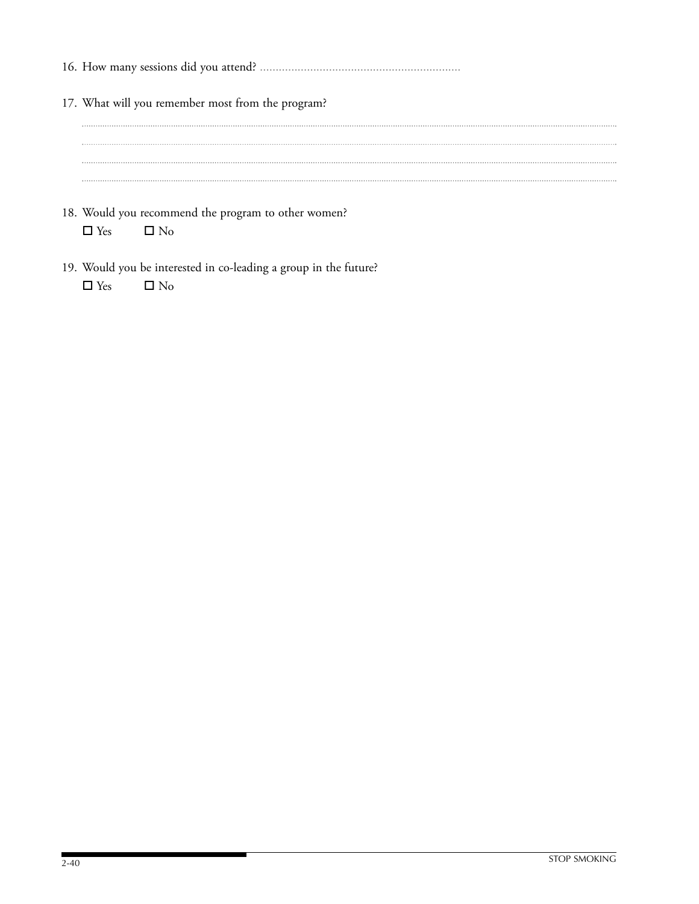| 17. What will you remember most from the program? |
|---------------------------------------------------|
|                                                   |
|                                                   |
|                                                   |
|                                                   |
|                                                   |
|                                                   |

- 18. Would you recommend the program to other women?  $\Box$  Yes  $\Box$  No
- 19. Would you be interested in co-leading a group in the future?  $\square$  <br>Yes  $\square$  <br>No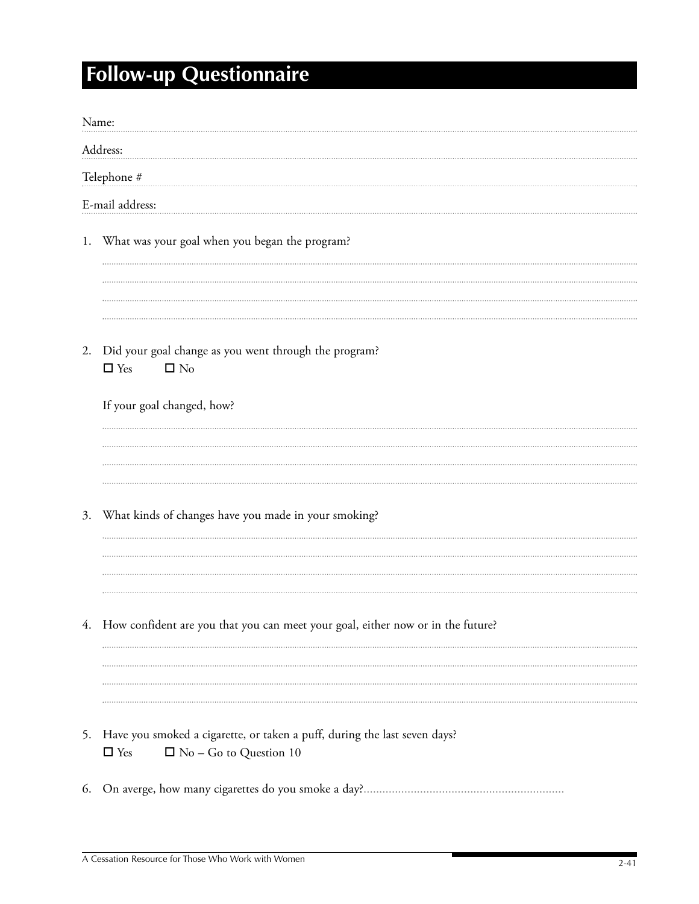# **Follow-up Questionnaire**

| Name: |                                                                                    |
|-------|------------------------------------------------------------------------------------|
|       | Address:                                                                           |
|       | Telephone #                                                                        |
|       | E-mail address:                                                                    |
|       |                                                                                    |
|       | 1. What was your goal when you began the program?                                  |
|       |                                                                                    |
|       |                                                                                    |
|       |                                                                                    |
| 2.    | Did your goal change as you went through the program?<br>$\square$ No              |
|       | $\Box$ Yes                                                                         |
|       | If your goal changed, how?                                                         |
|       |                                                                                    |
|       |                                                                                    |
|       |                                                                                    |
| 3.    | What kinds of changes have you made in your smoking?                               |
|       |                                                                                    |
|       |                                                                                    |
|       |                                                                                    |
|       | 4. How confident are you that you can meet your goal, either now or in the future? |
|       |                                                                                    |
|       |                                                                                    |
|       |                                                                                    |
| 5.    | Have you smoked a cigarette, or taken a puff, during the last seven days?          |
|       | $\hfill \square$<br>Yes<br>$\Box$ No - Go to Question 10                           |
| 6.    |                                                                                    |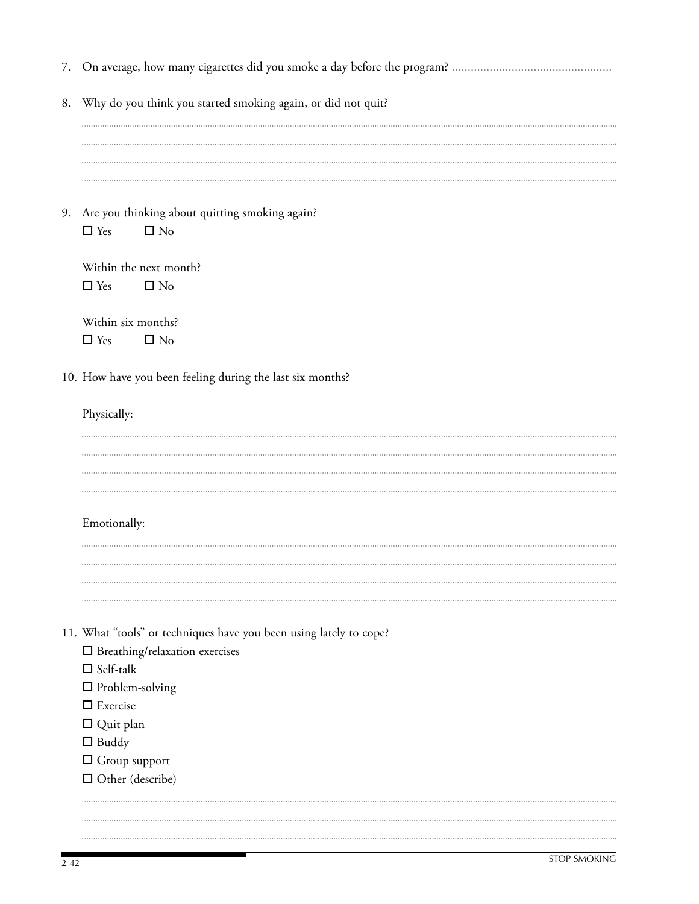| 8. | Why do you think you started smoking again, or did not quit?                    |
|----|---------------------------------------------------------------------------------|
|    |                                                                                 |
|    |                                                                                 |
|    | 9. Are you thinking about quitting smoking again?<br>$\Box$ Yes<br>$\square$ No |
|    | Within the next month?<br>$\Box$ Yes<br>$\square$ No                            |
|    | Within six months?<br>$\square$ No<br>$\Box$ Yes                                |
|    | 10. How have you been feeling during the last six months?                       |
|    | Physically:                                                                     |
|    |                                                                                 |
|    |                                                                                 |
|    | Emotionally:                                                                    |
|    |                                                                                 |
|    | 11. What "tools" or techniques have you been using lately to cope?              |
|    | $\square$ Breathing/relaxation exercises<br>$\Box$ Self-talk                    |
|    | $\square$ Problem-solving                                                       |
|    | $\Box$ Exercise                                                                 |
|    | $\Box$ Quit plan                                                                |
|    | $\Box$ Buddy                                                                    |
|    | $\Box$ Group support                                                            |
|    | $\Box$ Other (describe)                                                         |
|    |                                                                                 |
|    |                                                                                 |
|    |                                                                                 |